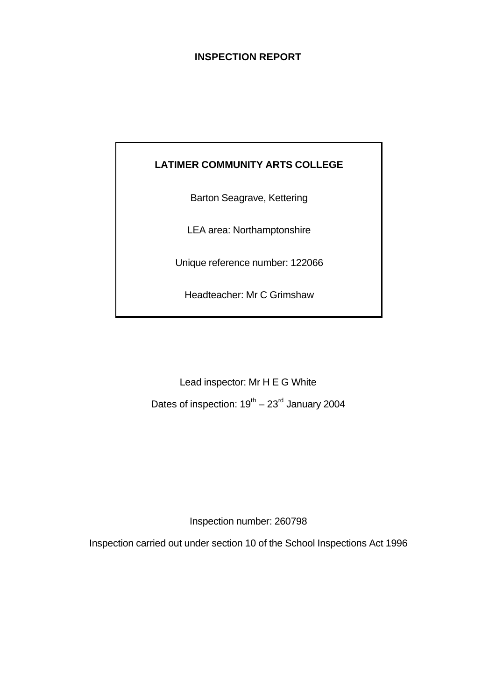### **INSPECTION REPORT**

### **LATIMER COMMUNITY ARTS COLLEGE**

Barton Seagrave, Kettering

LEA area: Northamptonshire

Unique reference number: 122066

Headteacher: Mr C Grimshaw

Lead inspector: Mr H E G White Dates of inspection:  $19^{th} - 23^{rd}$  January 2004

Inspection number: 260798

Inspection carried out under section 10 of the School Inspections Act 1996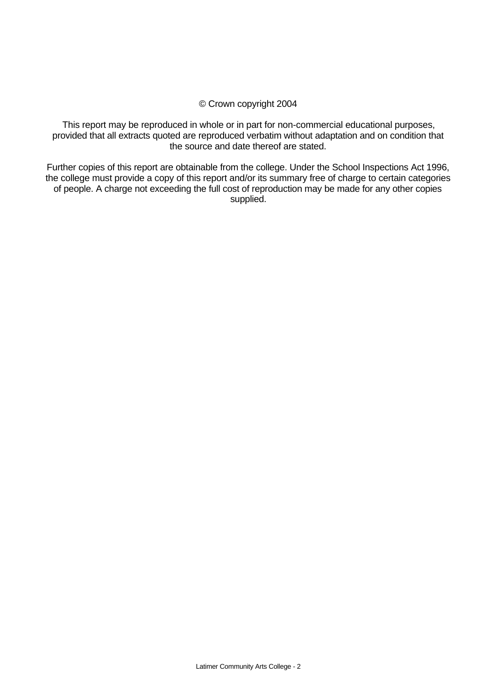### © Crown copyright 2004

This report may be reproduced in whole or in part for non-commercial educational purposes, provided that all extracts quoted are reproduced verbatim without adaptation and on condition that the source and date thereof are stated.

Further copies of this report are obtainable from the college. Under the School Inspections Act 1996, the college must provide a copy of this report and/or its summary free of charge to certain categories of people. A charge not exceeding the full cost of reproduction may be made for any other copies supplied.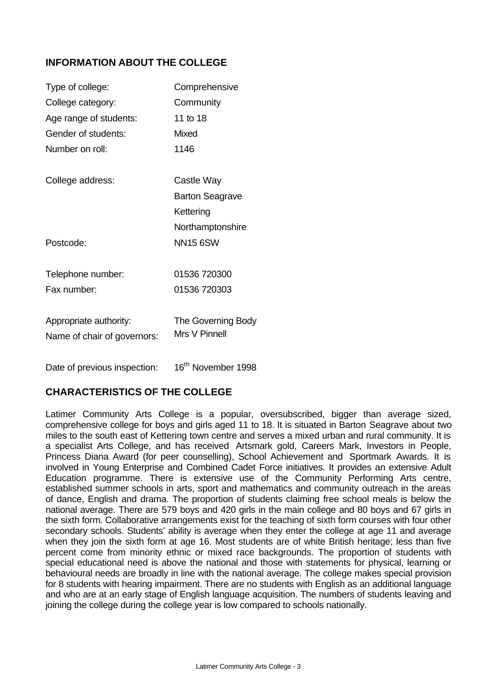### **INFORMATION ABOUT THE COLLEGE**

| Type of college:                                      | Comprehensive                       |
|-------------------------------------------------------|-------------------------------------|
| College category:                                     | Community                           |
| Age range of students:                                | 11 to 18                            |
| Gender of students:                                   | Mixed                               |
| Number on roll:                                       | 1146                                |
| College address:                                      | Castle Way                          |
|                                                       | <b>Barton Seagrave</b>              |
|                                                       | Kettering                           |
|                                                       | Northamptonshire                    |
| Postcode:                                             | NN15 6SW                            |
| Telephone number:                                     | 01536 720300                        |
| Fax number:                                           | 01536 720303                        |
| Appropriate authority:<br>Name of chair of governors: | The Governing Body<br>Mrs V Pinnell |
|                                                       |                                     |

Date of previous inspection: 16<sup>th</sup> November 1998

### **CHARACTERISTICS OF THE COLLEGE**

Latimer Community Arts College is a popular, oversubscribed, bigger than average sized, comprehensive college for boys and girls aged 11 to 18. It is situated in Barton Seagrave about two miles to the south east of Kettering town centre and serves a mixed urban and rural community. It is a specialist Arts College, and has received Artsmark gold, Careers Mark, Investors in People, Princess Diana Award (for peer counselling), School Achievement and Sportmark Awards. It is involved in Young Enterprise and Combined Cadet Force initiatives. It provides an extensive Adult Education programme. There is extensive use of the Community Performing Arts centre, established summer schools in arts, sport and mathematics and community outreach in the areas of dance, English and drama. The proportion of students claiming free school meals is below the national average. There are 579 boys and 420 girls in the main college and 80 boys and 67 girls in the sixth form. Collaborative arrangements exist for the teaching of sixth form courses with four other secondary schools. Students' ability is average when they enter the college at age 11 and average when they join the sixth form at age 16. Most students are of white British heritage; less than five percent come from minority ethnic or mixed race backgrounds. The proportion of students with special educational need is above the national and those with statements for physical, learning or behavioural needs are broadly in line with the national average. The college makes special provision for 8 students with hearing impairment. There are no students with English as an additional language and who are at an early stage of English language acquisition. The numbers of students leaving and joining the college during the college year is low compared to schools nationally.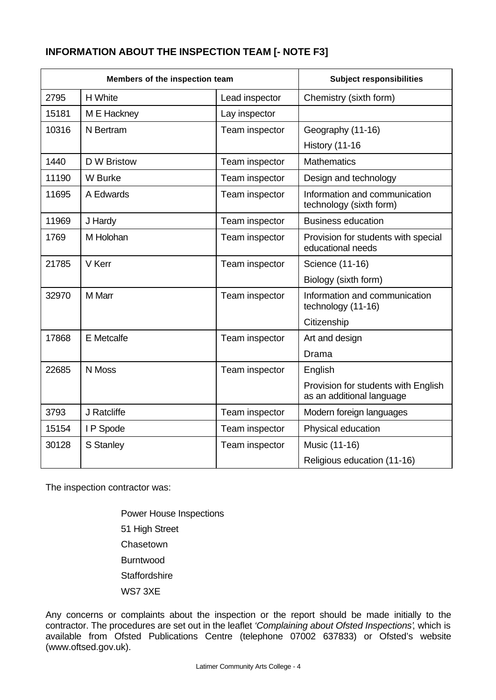### **INFORMATION ABOUT THE INSPECTION TEAM [- NOTE F3]**

| Members of the inspection team |             | <b>Subject responsibilities</b> |                                                                  |
|--------------------------------|-------------|---------------------------------|------------------------------------------------------------------|
| 2795                           | H White     | Lead inspector                  | Chemistry (sixth form)                                           |
| 15181                          | M E Hackney | Lay inspector                   |                                                                  |
| 10316                          | N Bertram   | Team inspector                  | Geography (11-16)                                                |
|                                |             |                                 | <b>History (11-16)</b>                                           |
| 1440                           | D W Bristow | Team inspector                  | <b>Mathematics</b>                                               |
| 11190                          | W Burke     | Team inspector                  | Design and technology                                            |
| 11695                          | A Edwards   | Team inspector                  | Information and communication<br>technology (sixth form)         |
| 11969                          | J Hardy     | Team inspector                  | <b>Business education</b>                                        |
| 1769                           | M Holohan   | Team inspector                  | Provision for students with special<br>educational needs         |
| 21785                          | V Kerr      | Team inspector                  | Science (11-16)                                                  |
|                                |             |                                 | Biology (sixth form)                                             |
| 32970                          | M Marr      | Team inspector                  | Information and communication<br>technology (11-16)              |
|                                |             |                                 | Citizenship                                                      |
| 17868                          | E Metcalfe  | Team inspector                  | Art and design                                                   |
|                                |             |                                 | Drama                                                            |
| 22685                          | N Moss      | Team inspector                  | English                                                          |
|                                |             |                                 | Provision for students with English<br>as an additional language |
| 3793                           | J Ratcliffe | Team inspector                  | Modern foreign languages                                         |
| 15154                          | I P Spode   | Team inspector                  | Physical education                                               |
| 30128                          | S Stanley   | Team inspector                  | Music (11-16)                                                    |
|                                |             |                                 | Religious education (11-16)                                      |

The inspection contractor was:

Power House Inspections 51 High Street **Chasetown** Burntwood **Staffordshire** WS7 3XE

Any concerns or complaints about the inspection or the report should be made initially to the contractor. The procedures are set out in the leaflet *'Complaining about Ofsted Inspections'*, which is available from Ofsted Publications Centre (telephone 07002 637833) or Ofsted's website (www.oftsed.gov.uk).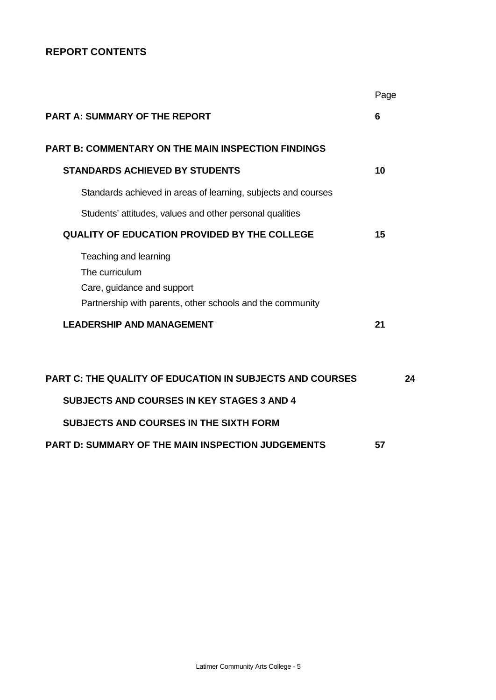### **REPORT CONTENTS**

|                                                                                                                                    | Page |
|------------------------------------------------------------------------------------------------------------------------------------|------|
| <b>PART A: SUMMARY OF THE REPORT</b>                                                                                               | 6    |
| <b>PART B: COMMENTARY ON THE MAIN INSPECTION FINDINGS</b>                                                                          |      |
| <b>STANDARDS ACHIEVED BY STUDENTS</b>                                                                                              | 10   |
| Standards achieved in areas of learning, subjects and courses                                                                      |      |
| Students' attitudes, values and other personal qualities                                                                           |      |
| <b>QUALITY OF EDUCATION PROVIDED BY THE COLLEGE</b>                                                                                | 15   |
| Teaching and learning<br>The curriculum<br>Care, guidance and support<br>Partnership with parents, other schools and the community |      |
| <b>LEADERSHIP AND MANAGEMENT</b>                                                                                                   | 21   |
|                                                                                                                                    |      |
| <b>PART C: THE QUALITY OF EDUCATION IN SUBJECTS AND COURSES</b>                                                                    | 24   |
| <b>SUBJECTS AND COURSES IN KEY STAGES 3 AND 4</b>                                                                                  |      |
| <b>SUBJECTS AND COURSES IN THE SIXTH FORM</b>                                                                                      |      |
| <b>PART D: SUMMARY OF THE MAIN INSPECTION JUDGEMENTS</b>                                                                           | 57   |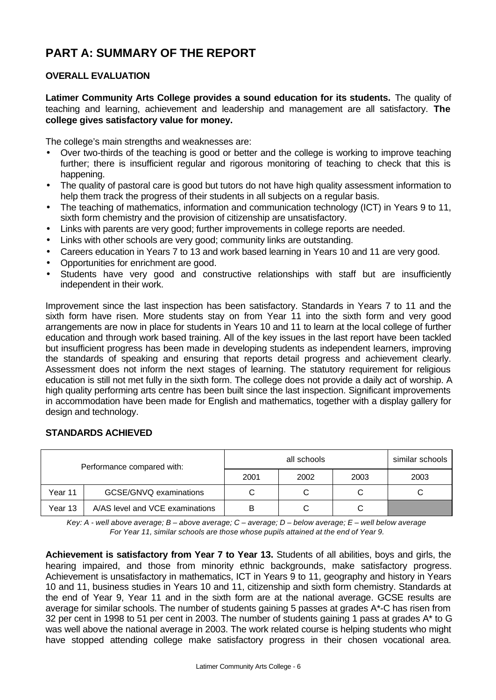# **PART A: SUMMARY OF THE REPORT**

### **OVERALL EVALUATION**

**Latimer Community Arts College provides a sound education for its students.** The quality of teaching and learning, achievement and leadership and management are all satisfactory. **The college gives satisfactory value for money.**

The college's main strengths and weaknesses are:

- Over two-thirds of the teaching is good or better and the college is working to improve teaching further; there is insufficient regular and rigorous monitoring of teaching to check that this is happening.
- The quality of pastoral care is good but tutors do not have high quality assessment information to help them track the progress of their students in all subjects on a regular basis.
- The teaching of mathematics, information and communication technology (ICT) in Years 9 to 11, sixth form chemistry and the provision of citizenship are unsatisfactory.
- Links with parents are very good; further improvements in college reports are needed.
- Links with other schools are very good; community links are outstanding.
- Careers education in Years 7 to 13 and work based learning in Years 10 and 11 are very good.
- Opportunities for enrichment are good.
- Students have very good and constructive relationships with staff but are insufficiently independent in their work.

Improvement since the last inspection has been satisfactory. Standards in Years 7 to 11 and the sixth form have risen. More students stay on from Year 11 into the sixth form and very good arrangements are now in place for students in Years 10 and 11 to learn at the local college of further education and through work based training. All of the key issues in the last report have been tackled but insufficient progress has been made in developing students as independent learners, improving the standards of speaking and ensuring that reports detail progress and achievement clearly. Assessment does not inform the next stages of learning. The statutory requirement for religious education is still not met fully in the sixth form. The college does not provide a daily act of worship. A high quality performing arts centre has been built since the last inspection. Significant improvements in accommodation have been made for English and mathematics, together with a display gallery for design and technology.

### **STANDARDS ACHIEVED**

| Performance compared with: |                                 |      | similar schools |      |      |
|----------------------------|---------------------------------|------|-----------------|------|------|
|                            |                                 | 2001 | 2002            | 2003 | 2003 |
| Year 11                    | GCSE/GNVQ examinations          |      |                 |      |      |
| Year 13                    | A/AS level and VCE examinations | B    |                 |      |      |

*Key: A - well above average; B – above average; C – average; D – below average; E – well below average For Year 11, similar schools are those whose pupils attained at the end of Year 9.*

**Achievement is satisfactory from Year 7 to Year 13.** Students of all abilities, boys and girls, the hearing impaired, and those from minority ethnic backgrounds, make satisfactory progress. Achievement is unsatisfactory in mathematics, ICT in Years 9 to 11, geography and history in Years 10 and 11, business studies in Years 10 and 11, citizenship and sixth form chemistry. Standards at the end of Year 9, Year 11 and in the sixth form are at the national average. GCSE results are average for similar schools. The number of students gaining 5 passes at grades A\*-C has risen from 32 per cent in 1998 to 51 per cent in 2003. The number of students gaining 1 pass at grades A\* to G was well above the national average in 2003. The work related course is helping students who might have stopped attending college make satisfactory progress in their chosen vocational area.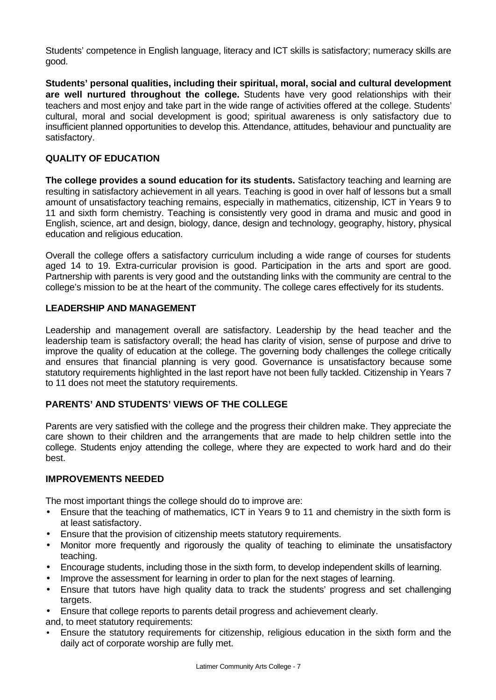Students' competence in English language, literacy and ICT skills is satisfactory; numeracy skills are good.

**Students' personal qualities, including their spiritual, moral, social and cultural development are well nurtured throughout the college.** Students have very good relationships with their teachers and most enjoy and take part in the wide range of activities offered at the college. Students' cultural, moral and social development is good; spiritual awareness is only satisfactory due to insufficient planned opportunities to develop this. Attendance, attitudes, behaviour and punctuality are satisfactory.

### **QUALITY OF EDUCATION**

**The college provides a sound education for its students.** Satisfactory teaching and learning are resulting in satisfactory achievement in all years. Teaching is good in over half of lessons but a small amount of unsatisfactory teaching remains, especially in mathematics, citizenship, ICT in Years 9 to 11 and sixth form chemistry. Teaching is consistently very good in drama and music and good in English, science, art and design, biology, dance, design and technology, geography, history, physical education and religious education.

Overall the college offers a satisfactory curriculum including a wide range of courses for students aged 14 to 19. Extra-curricular provision is good. Participation in the arts and sport are good. Partnership with parents is very good and the outstanding links with the community are central to the college's mission to be at the heart of the community. The college cares effectively for its students.

### **LEADERSHIP AND MANAGEMENT**

Leadership and management overall are satisfactory. Leadership by the head teacher and the leadership team is satisfactory overall; the head has clarity of vision, sense of purpose and drive to improve the quality of education at the college. The governing body challenges the college critically and ensures that financial planning is very good. Governance is unsatisfactory because some statutory requirements highlighted in the last report have not been fully tackled. Citizenship in Years 7 to 11 does not meet the statutory requirements.

### **PARENTS' AND STUDENTS' VIEWS OF THE COLLEGE**

Parents are very satisfied with the college and the progress their children make. They appreciate the care shown to their children and the arrangements that are made to help children settle into the college. Students enjoy attending the college, where they are expected to work hard and do their best.

### **IMPROVEMENTS NEEDED**

The most important things the college should do to improve are:

- Ensure that the teaching of mathematics, ICT in Years 9 to 11 and chemistry in the sixth form is at least satisfactory.
- Ensure that the provision of citizenship meets statutory requirements.
- Monitor more frequently and rigorously the quality of teaching to eliminate the unsatisfactory teaching.
- Encourage students, including those in the sixth form, to develop independent skills of learning.
- Improve the assessment for learning in order to plan for the next stages of learning.
- Ensure that tutors have high quality data to track the students' progress and set challenging targets.

• Ensure that college reports to parents detail progress and achievement clearly.

- and, to meet statutory requirements:
- Ensure the statutory requirements for citizenship, religious education in the sixth form and the daily act of corporate worship are fully met.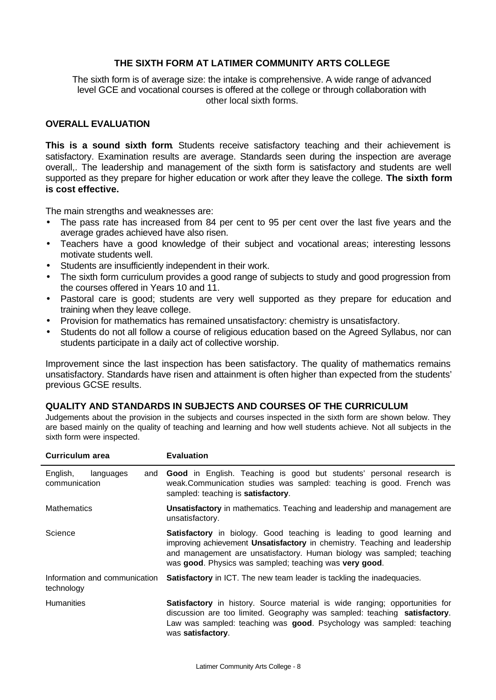### **THE SIXTH FORM AT LATIMER COMMUNITY ARTS COLLEGE**

The sixth form is of average size: the intake is comprehensive. A wide range of advanced level GCE and vocational courses is offered at the college or through collaboration with other local sixth forms.

#### **OVERALL EVALUATION**

**This is a sound sixth form**. Students receive satisfactory teaching and their achievement is satisfactory. Examination results are average. Standards seen during the inspection are average overall,. The leadership and management of the sixth form is satisfactory and students are well supported as they prepare for higher education or work after they leave the college. **The sixth form is cost effective.**

The main strengths and weaknesses are:

- The pass rate has increased from 84 per cent to 95 per cent over the last five years and the average grades achieved have also risen.
- Teachers have a good knowledge of their subject and vocational areas; interesting lessons motivate students well.
- Students are insufficiently independent in their work.
- The sixth form curriculum provides a good range of subjects to study and good progression from the courses offered in Years 10 and 11.
- Pastoral care is good; students are very well supported as they prepare for education and training when they leave college.
- Provision for mathematics has remained unsatisfactory: chemistry is unsatisfactory.
- Students do not all follow a course of religious education based on the Agreed Syllabus, nor can students participate in a daily act of collective worship.

Improvement since the last inspection has been satisfactory. The quality of mathematics remains unsatisfactory. Standards have risen and attainment is often higher than expected from the students' previous GCSE results.

#### **QUALITY AND STANDARDS IN SUBJECTS AND COURSES OF THE CURRICULUM**

Judgements about the provision in the subjects and courses inspected in the sixth form are shown below. They are based mainly on the quality of teaching and learning and how well students achieve. Not all subjects in the sixth form were inspected.

| Curriculum area                               | <b>Evaluation</b>                                                                                                                                                                                                                                                                               |
|-----------------------------------------------|-------------------------------------------------------------------------------------------------------------------------------------------------------------------------------------------------------------------------------------------------------------------------------------------------|
| English,<br>languages<br>and<br>communication | Good in English. Teaching is good but students' personal research is<br>weak.Communication studies was sampled: teaching is good. French was<br>sampled: teaching is satisfactory.                                                                                                              |
| <b>Mathematics</b>                            | Unsatisfactory in mathematics. Teaching and leadership and management are<br>unsatisfactory.                                                                                                                                                                                                    |
| Science                                       | <b>Satisfactory</b> in biology. Good teaching is leading to good learning and<br>improving achievement Unsatisfactory in chemistry. Teaching and leadership<br>and management are unsatisfactory. Human biology was sampled; teaching<br>was good. Physics was sampled; teaching was very good. |
| Information and communication<br>technology   | <b>Satisfactory</b> in ICT. The new team leader is tackling the inadequacies.                                                                                                                                                                                                                   |
| <b>Humanities</b>                             | <b>Satisfactory</b> in history. Source material is wide ranging; opportunities for<br>discussion are too limited. Geography was sampled: teaching satisfactory.<br>Law was sampled: teaching was good. Psychology was sampled: teaching<br>was satisfactory.                                    |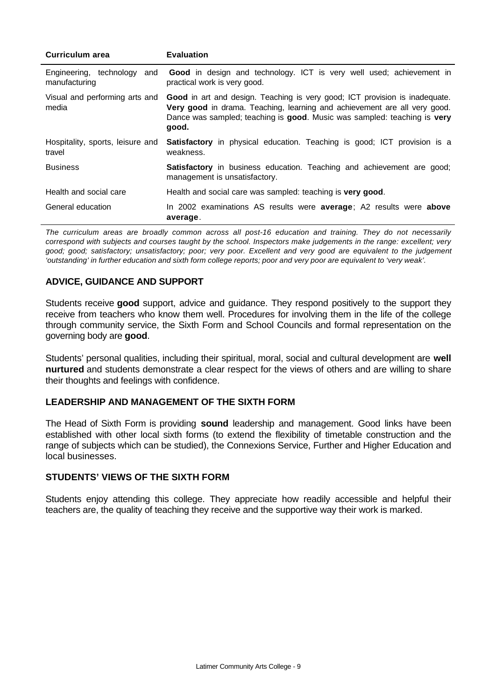| Curriculum area                              | <b>Evaluation</b>                                                                                                                                                                                                                             |  |  |  |
|----------------------------------------------|-----------------------------------------------------------------------------------------------------------------------------------------------------------------------------------------------------------------------------------------------|--|--|--|
| Engineering, technology and<br>manufacturing | Good in design and technology. ICT is very well used; achievement in<br>practical work is very good.                                                                                                                                          |  |  |  |
| Visual and performing arts and<br>media      | Good in art and design. Teaching is very good; ICT provision is inadequate.<br>Very good in drama. Teaching, learning and achievement are all very good.<br>Dance was sampled; teaching is good. Music was sampled: teaching is very<br>good. |  |  |  |
| Hospitality, sports, leisure and<br>travel   | <b>Satisfactory</b> in physical education. Teaching is good; ICT provision is a<br>weakness.                                                                                                                                                  |  |  |  |
| <b>Business</b>                              | <b>Satisfactory</b> in business education. Teaching and achievement are good;<br>management is unsatisfactory.                                                                                                                                |  |  |  |
| Health and social care                       | Health and social care was sampled: teaching is very good.                                                                                                                                                                                    |  |  |  |
| General education                            | In 2002 examinations AS results were average; A2 results were above<br>average.                                                                                                                                                               |  |  |  |

*The curriculum areas are broadly common across all post-16 education and training. They do not necessarily correspond with subjects and courses taught by the school. Inspectors make judgements in the range: excellent; very good; good; satisfactory; unsatisfactory; poor; very poor. Excellent and very good are equivalent to the judgement 'outstanding' in further education and sixth form college reports; poor and very poor are equivalent to 'very weak'.*

### **ADVICE, GUIDANCE AND SUPPORT**

Students receive **good** support, advice and guidance. They respond positively to the support they receive from teachers who know them well. Procedures for involving them in the life of the college through community service, the Sixth Form and School Councils and formal representation on the governing body are **good**.

Students' personal qualities, including their spiritual, moral, social and cultural development are **well nurtured** and students demonstrate a clear respect for the views of others and are willing to share their thoughts and feelings with confidence.

### **LEADERSHIP AND MANAGEMENT OF THE SIXTH FORM**

The Head of Sixth Form is providing **sound** leadership and management. Good links have been established with other local sixth forms (to extend the flexibility of timetable construction and the range of subjects which can be studied), the Connexions Service, Further and Higher Education and local businesses.

#### **STUDENTS' VIEWS OF THE SIXTH FORM**

Students enjoy attending this college. They appreciate how readily accessible and helpful their teachers are, the quality of teaching they receive and the supportive way their work is marked.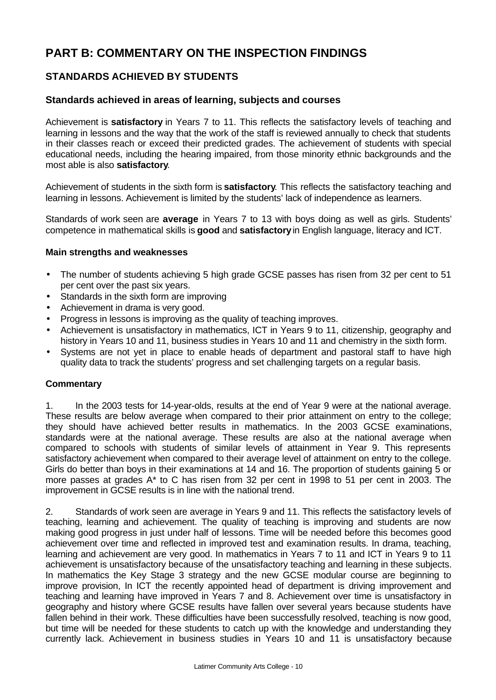# **PART B: COMMENTARY ON THE INSPECTION FINDINGS**

### **STANDARDS ACHIEVED BY STUDENTS**

### **Standards achieved in areas of learning, subjects and courses**

Achievement is **satisfactory** in Years 7 to 11. This reflects the satisfactory levels of teaching and learning in lessons and the way that the work of the staff is reviewed annually to check that students in their classes reach or exceed their predicted grades. The achievement of students with special educational needs, including the hearing impaired, from those minority ethnic backgrounds and the most able is also **satisfactory**.

Achievement of students in the sixth form is **satisfactory**. This reflects the satisfactory teaching and learning in lessons. Achievement is limited by the students' lack of independence as learners.

Standards of work seen are **average** in Years 7 to 13 with boys doing as well as girls. Students' competence in mathematical skills is **good** and **satisfactory** in English language, literacy and ICT.

#### **Main strengths and weaknesses**

- The number of students achieving 5 high grade GCSE passes has risen from 32 per cent to 51 per cent over the past six years.
- Standards in the sixth form are improving
- Achievement in drama is very good.
- Progress in lessons is improving as the quality of teaching improves.
- Achievement is unsatisfactory in mathematics, ICT in Years 9 to 11, citizenship, geography and history in Years 10 and 11, business studies in Years 10 and 11 and chemistry in the sixth form.
- Systems are not yet in place to enable heads of department and pastoral staff to have high quality data to track the students' progress and set challenging targets on a regular basis.

### **Commentary**

1. In the 2003 tests for 14-year-olds, results at the end of Year 9 were at the national average. These results are below average when compared to their prior attainment on entry to the college; they should have achieved better results in mathematics. In the 2003 GCSE examinations, standards were at the national average. These results are also at the national average when compared to schools with students of similar levels of attainment in Year 9. This represents satisfactory achievement when compared to their average level of attainment on entry to the college. Girls do better than boys in their examinations at 14 and 16. The proportion of students gaining 5 or more passes at grades A\* to C has risen from 32 per cent in 1998 to 51 per cent in 2003. The improvement in GCSE results is in line with the national trend.

2. Standards of work seen are average in Years 9 and 11. This reflects the satisfactory levels of teaching, learning and achievement. The quality of teaching is improving and students are now making good progress in just under half of lessons. Time will be needed before this becomes good achievement over time and reflected in improved test and examination results. In drama, teaching, learning and achievement are very good. In mathematics in Years 7 to 11 and ICT in Years 9 to 11 achievement is unsatisfactory because of the unsatisfactory teaching and learning in these subjects. In mathematics the Key Stage 3 strategy and the new GCSE modular course are beginning to improve provision, In ICT the recently appointed head of department is driving improvement and teaching and learning have improved in Years 7 and 8. Achievement over time is unsatisfactory in geography and history where GCSE results have fallen over several years because students have fallen behind in their work. These difficulties have been successfully resolved, teaching is now good, but time will be needed for these students to catch up with the knowledge and understanding they currently lack. Achievement in business studies in Years 10 and 11 is unsatisfactory because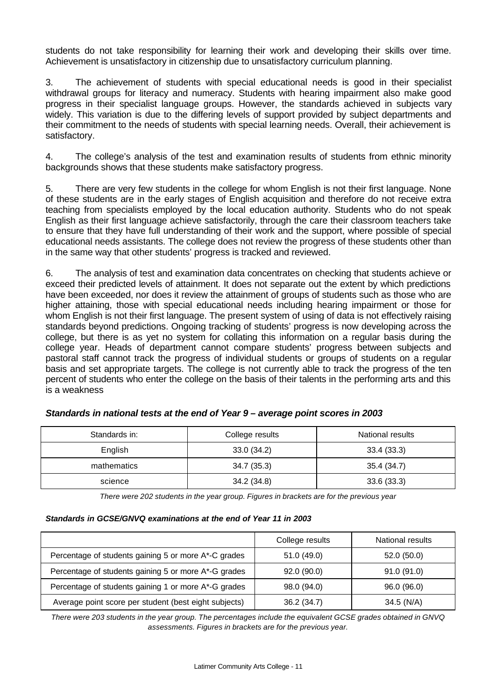students do not take responsibility for learning their work and developing their skills over time. Achievement is unsatisfactory in citizenship due to unsatisfactory curriculum planning.

3. The achievement of students with special educational needs is good in their specialist withdrawal groups for literacy and numeracy. Students with hearing impairment also make good progress in their specialist language groups. However, the standards achieved in subjects vary widely. This variation is due to the differing levels of support provided by subject departments and their commitment to the needs of students with special learning needs. Overall, their achievement is satisfactory.

4. The college's analysis of the test and examination results of students from ethnic minority backgrounds shows that these students make satisfactory progress.

5. There are very few students in the college for whom English is not their first language. None of these students are in the early stages of English acquisition and therefore do not receive extra teaching from specialists employed by the local education authority. Students who do not speak English as their first language achieve satisfactorily, through the care their classroom teachers take to ensure that they have full understanding of their work and the support, where possible of special educational needs assistants. The college does not review the progress of these students other than in the same way that other students' progress is tracked and reviewed.

6. The analysis of test and examination data concentrates on checking that students achieve or exceed their predicted levels of attainment. It does not separate out the extent by which predictions have been exceeded, nor does it review the attainment of groups of students such as those who are higher attaining, those with special educational needs including hearing impairment or those for whom English is not their first language. The present system of using of data is not effectively raising standards beyond predictions. Ongoing tracking of students' progress is now developing across the college, but there is as yet no system for collating this information on a regular basis during the college year. Heads of department cannot compare students' progress between subjects and pastoral staff cannot track the progress of individual students or groups of students on a regular basis and set appropriate targets. The college is not currently able to track the progress of the ten percent of students who enter the college on the basis of their talents in the performing arts and this is a weakness

| Standards in: | College results | National results |
|---------------|-----------------|------------------|
| English       | 33.0(34.2)      | 33.4(33.3)       |
| mathematics   | 34.7(35.3)      | 35.4 (34.7)      |
| science       | 34.2(34.8)      | 33.6(33.3)       |

#### *Standards in national tests at the end of Year 9 – average point scores in 2003*

*There were 202 students in the year group. Figures in brackets are for the previous year*

#### *Standards in GCSE/GNVQ examinations at the end of Year 11 in 2003*

|                                                       | College results | National results |
|-------------------------------------------------------|-----------------|------------------|
| Percentage of students gaining 5 or more A*-C grades  | 51.0(49.0)      | 52.0 (50.0)      |
| Percentage of students gaining 5 or more A*-G grades  | 92.0(90.0)      | 91.0(91.0)       |
| Percentage of students gaining 1 or more A*-G grades  | 98.0 (94.0)     | 96.0 (96.0)      |
| Average point score per student (best eight subjects) | 36.2(34.7)      | 34.5 (N/A)       |

*There were 203 students in the year group. The percentages include the equivalent GCSE grades obtained in GNVQ assessments. Figures in brackets are for the previous year.*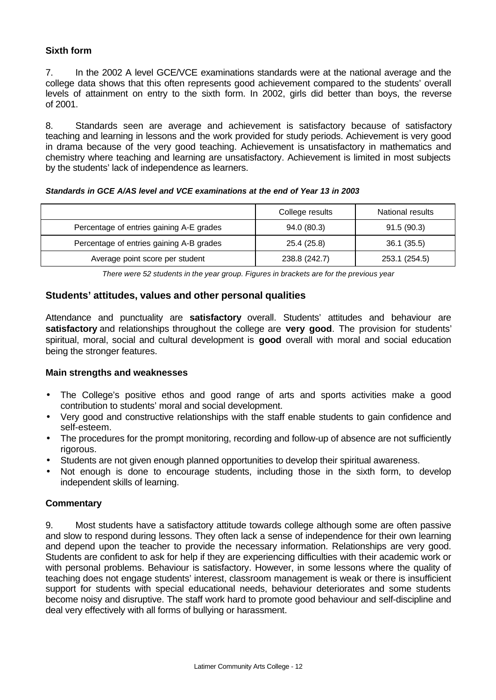### **Sixth form**

7. In the 2002 A level GCE/VCE examinations standards were at the national average and the college data shows that this often represents good achievement compared to the students' overall levels of attainment on entry to the sixth form. In 2002, girls did better than boys, the reverse of 2001.

8. Standards seen are average and achievement is satisfactory because of satisfactory teaching and learning in lessons and the work provided for study periods. Achievement is very good in drama because of the very good teaching. Achievement is unsatisfactory in mathematics and chemistry where teaching and learning are unsatisfactory. Achievement is limited in most subjects by the students' lack of independence as learners.

#### *Standards in GCE A/AS level and VCE examinations at the end of Year 13 in 2003*

|                                          | College results | National results |
|------------------------------------------|-----------------|------------------|
| Percentage of entries gaining A-E grades | 94.0 (80.3)     | 91.5(90.3)       |
| Percentage of entries gaining A-B grades | 25.4 (25.8)     | 36.1 (35.5)      |
| Average point score per student          | 238.8 (242.7)   | 253.1 (254.5)    |

*There were 52 students in the year group. Figures in brackets are for the previous year*

### **Students' attitudes, values and other personal qualities**

Attendance and punctuality are **satisfactory** overall. Students' attitudes and behaviour are **satisfactory** and relationships throughout the college are **very good**. The provision for students' spiritual, moral, social and cultural development is **good** overall with moral and social education being the stronger features.

### **Main strengths and weaknesses**

- The College's positive ethos and good range of arts and sports activities make a good contribution to students' moral and social development.
- Very good and constructive relationships with the staff enable students to gain confidence and self-esteem.
- The procedures for the prompt monitoring, recording and follow-up of absence are not sufficiently rigorous.
- Students are not given enough planned opportunities to develop their spiritual awareness.
- Not enough is done to encourage students, including those in the sixth form, to develop independent skills of learning.

### **Commentary**

9. Most students have a satisfactory attitude towards college although some are often passive and slow to respond during lessons. They often lack a sense of independence for their own learning and depend upon the teacher to provide the necessary information. Relationships are very good. Students are confident to ask for help if they are experiencing difficulties with their academic work or with personal problems. Behaviour is satisfactory. However, in some lessons where the quality of teaching does not engage students' interest, classroom management is weak or there is insufficient support for students with special educational needs, behaviour deteriorates and some students become noisy and disruptive. The staff work hard to promote good behaviour and self-discipline and deal very effectively with all forms of bullying or harassment.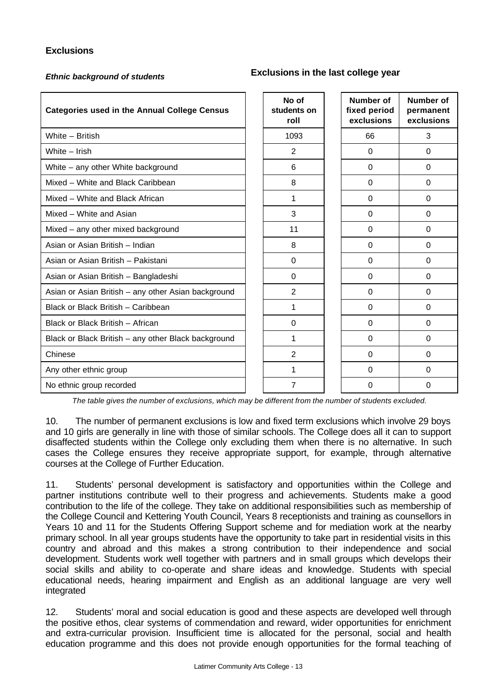### **Exclusions**

## *Ethnic background of students* **Exclusions in the last college year**

# **No of Number of**

| <b>Categories used in the Annual College Census</b> | No of<br>students on<br>roll | <b>Number of</b><br>fixed period<br>exclusions | Number of<br>permanent<br>exclusions |
|-----------------------------------------------------|------------------------------|------------------------------------------------|--------------------------------------|
| White - British                                     | 1093                         | 66                                             | 3                                    |
| White - Irish                                       | $\overline{2}$               | $\Omega$                                       | $\Omega$                             |
| White - any other White background                  | 6                            | 0                                              | 0                                    |
| Mixed - White and Black Caribbean                   | 8                            | $\Omega$                                       | $\Omega$                             |
| Mixed - White and Black African                     | 1                            | $\Omega$                                       | $\Omega$                             |
| Mixed - White and Asian                             | 3                            | 0                                              | $\Omega$                             |
| Mixed – any other mixed background                  | 11                           | $\Omega$                                       | $\Omega$                             |
| Asian or Asian British - Indian                     | 8                            | 0                                              | $\Omega$                             |
| Asian or Asian British - Pakistani                  | $\Omega$                     | $\Omega$                                       | $\Omega$                             |
| Asian or Asian British - Bangladeshi                | $\Omega$                     | $\Omega$                                       | $\Omega$                             |
| Asian or Asian British - any other Asian background | $\overline{2}$               | $\Omega$                                       | $\Omega$                             |
| Black or Black British - Caribbean                  | 1                            | 0                                              | $\Omega$                             |
| Black or Black British - African                    | $\Omega$                     | $\Omega$                                       | 0                                    |
| Black or Black British - any other Black background | 1                            | $\Omega$                                       | $\Omega$                             |
| Chinese                                             | 2                            | $\Omega$                                       | $\Omega$                             |
| Any other ethnic group                              | 1                            | $\Omega$                                       | $\Omega$                             |
| No ethnic group recorded                            | 7                            | 0                                              | $\Omega$                             |

*The table gives the number of exclusions, which may be different from the number of students excluded.*

10. The number of permanent exclusions is low and fixed term exclusions which involve 29 boys and 10 girls are generally in line with those of similar schools. The College does all it can to support disaffected students within the College only excluding them when there is no alternative. In such cases the College ensures they receive appropriate support, for example, through alternative courses at the College of Further Education.

11. Students' personal development is satisfactory and opportunities within the College and partner institutions contribute well to their progress and achievements. Students make a good contribution to the life of the college. They take on additional responsibilities such as membership of the College Council and Kettering Youth Council, Years 8 receptionists and training as counsellors in Years 10 and 11 for the Students Offering Support scheme and for mediation work at the nearby primary school. In all year groups students have the opportunity to take part in residential visits in this country and abroad and this makes a strong contribution to their independence and social development. Students work well together with partners and in small groups which develops their social skills and ability to co-operate and share ideas and knowledge. Students with special educational needs, hearing impairment and English as an additional language are very well integrated

12. Students' moral and social education is good and these aspects are developed well through the positive ethos, clear systems of commendation and reward, wider opportunities for enrichment and extra-curricular provision. Insufficient time is allocated for the personal, social and health education programme and this does not provide enough opportunities for the formal teaching of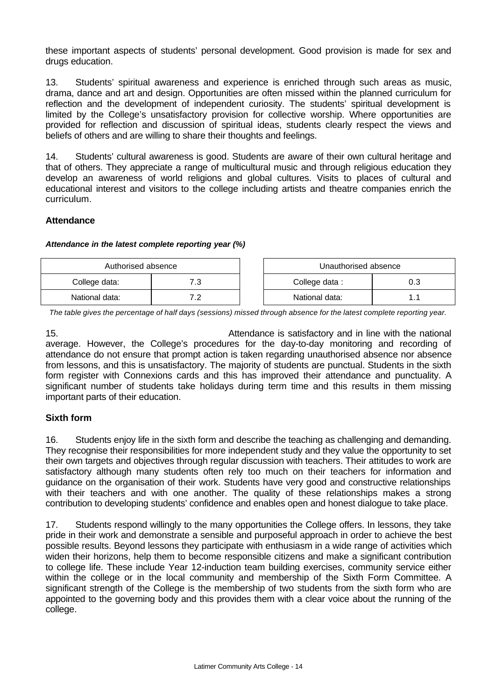these important aspects of students' personal development. Good provision is made for sex and drugs education.

13. Students' spiritual awareness and experience is enriched through such areas as music, drama, dance and art and design. Opportunities are often missed within the planned curriculum for reflection and the development of independent curiosity. The students' spiritual development is limited by the College's unsatisfactory provision for collective worship. Where opportunities are provided for reflection and discussion of spiritual ideas, students clearly respect the views and beliefs of others and are willing to share their thoughts and feelings.

14. Students' cultural awareness is good. Students are aware of their own cultural heritage and that of others. They appreciate a range of multicultural music and through religious education they develop an awareness of world religions and global cultures. Visits to places of cultural and educational interest and visitors to the college including artists and theatre companies enrich the curriculum.

### **Attendance**

#### *Attendance in the latest complete reporting year (%)*

| Authorised absence |            | Unauthorised absence |  |
|--------------------|------------|----------------------|--|
| College data:      | ٠          | College data:        |  |
| National data:     | . <u>.</u> | National data:       |  |

*The table gives the percentage of half days (sessions) missed through absence for the latest complete reporting year.*

15. Attendance is satisfactory and in line with the national average. However, the College's procedures for the day-to-day monitoring and recording of attendance do not ensure that prompt action is taken regarding unauthorised absence nor absence from lessons, and this is unsatisfactory. The majority of students are punctual. Students in the sixth form register with Connexions cards and this has improved their attendance and punctuality. A significant number of students take holidays during term time and this results in them missing important parts of their education.

### **Sixth form**

16. Students enjoy life in the sixth form and describe the teaching as challenging and demanding. They recognise their responsibilities for more independent study and they value the opportunity to set their own targets and objectives through regular discussion with teachers. Their attitudes to work are satisfactory although many students often rely too much on their teachers for information and guidance on the organisation of their work. Students have very good and constructive relationships with their teachers and with one another. The quality of these relationships makes a strong contribution to developing students' confidence and enables open and honest dialogue to take place.

17. Students respond willingly to the many opportunities the College offers. In lessons, they take pride in their work and demonstrate a sensible and purposeful approach in order to achieve the best possible results. Beyond lessons they participate with enthusiasm in a wide range of activities which widen their horizons, help them to become responsible citizens and make a significant contribution to college life. These include Year 12-induction team building exercises, community service either within the college or in the local community and membership of the Sixth Form Committee. A significant strength of the College is the membership of two students from the sixth form who are appointed to the governing body and this provides them with a clear voice about the running of the college.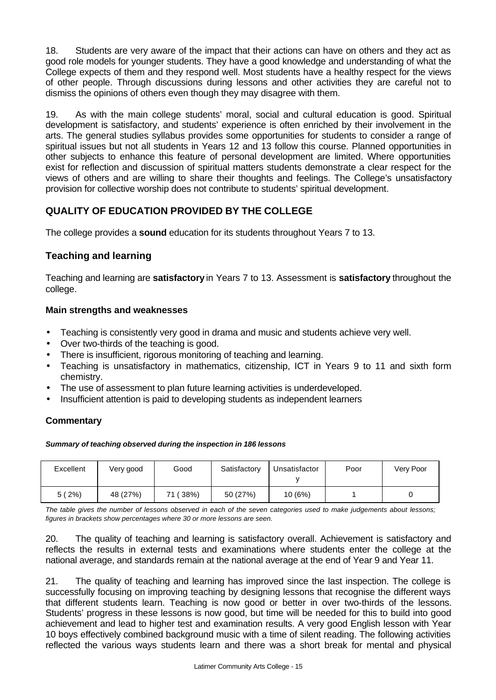18. Students are very aware of the impact that their actions can have on others and they act as good role models for younger students. They have a good knowledge and understanding of what the College expects of them and they respond well. Most students have a healthy respect for the views of other people. Through discussions during lessons and other activities they are careful not to dismiss the opinions of others even though they may disagree with them.

19. As with the main college students' moral, social and cultural education is good. Spiritual development is satisfactory, and students' experience is often enriched by their involvement in the arts. The general studies syllabus provides some opportunities for students to consider a range of spiritual issues but not all students in Years 12 and 13 follow this course. Planned opportunities in other subjects to enhance this feature of personal development are limited. Where opportunities exist for reflection and discussion of spiritual matters students demonstrate a clear respect for the views of others and are willing to share their thoughts and feelings. The College's unsatisfactory provision for collective worship does not contribute to students' spiritual development.

### **QUALITY OF EDUCATION PROVIDED BY THE COLLEGE**

The college provides a **sound** education for its students throughout Years 7 to 13.

### **Teaching and learning**

Teaching and learning are **satisfactory** in Years 7 to 13. Assessment is **satisfactory** throughout the college.

### **Main strengths and weaknesses**

- Teaching is consistently very good in drama and music and students achieve very well.
- Over two-thirds of the teaching is good.
- There is insufficient, rigorous monitoring of teaching and learning.
- Teaching is unsatisfactory in mathematics, citizenship, ICT in Years 9 to 11 and sixth form chemistry.
- The use of assessment to plan future learning activities is underdeveloped.
- Insufficient attention is paid to developing students as independent learners

### **Commentary**

*Summary of teaching observed during the inspection in 186 lessons*

| Excellent | Very good | Good      | Satisfactory | Unsatisfactor | Poor | Very Poor |
|-----------|-----------|-----------|--------------|---------------|------|-----------|
| $2\%)$    | 48 (27%)  | 71 ( 38%) | 50 (27%)     | 10(6%)        |      |           |

*The table gives the number of lessons observed in each of the seven categories used to make judgements about lessons; figures in brackets show percentages where 30 or more lessons are seen.*

20. The quality of teaching and learning is satisfactory overall. Achievement is satisfactory and reflects the results in external tests and examinations where students enter the college at the national average, and standards remain at the national average at the end of Year 9 and Year 11.

21. The quality of teaching and learning has improved since the last inspection. The college is successfully focusing on improving teaching by designing lessons that recognise the different ways that different students learn. Teaching is now good or better in over two-thirds of the lessons. Students' progress in these lessons is now good, but time will be needed for this to build into good achievement and lead to higher test and examination results. A very good English lesson with Year 10 boys effectively combined background music with a time of silent reading. The following activities reflected the various ways students learn and there was a short break for mental and physical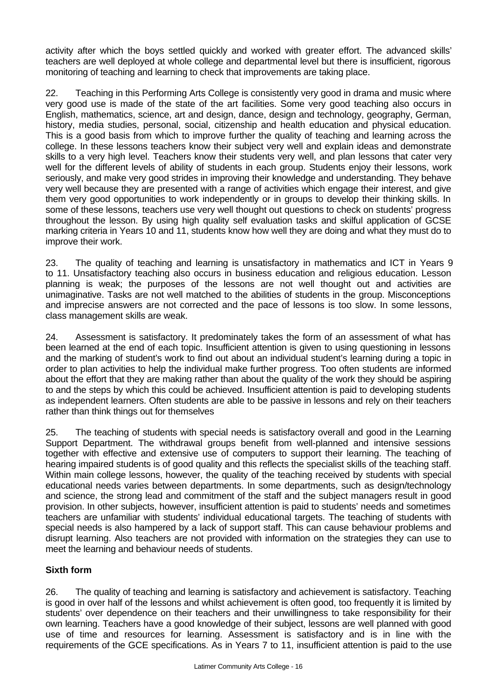activity after which the boys settled quickly and worked with greater effort. The advanced skills' teachers are well deployed at whole college and departmental level but there is insufficient, rigorous monitoring of teaching and learning to check that improvements are taking place.

22. Teaching in this Performing Arts College is consistently very good in drama and music where very good use is made of the state of the art facilities. Some very good teaching also occurs in English, mathematics, science, art and design, dance, design and technology, geography, German, history, media studies, personal, social, citizenship and health education and physical education. This is a good basis from which to improve further the quality of teaching and learning across the college. In these lessons teachers know their subject very well and explain ideas and demonstrate skills to a very high level. Teachers know their students very well, and plan lessons that cater very well for the different levels of ability of students in each group. Students enjoy their lessons, work seriously, and make very good strides in improving their knowledge and understanding. They behave very well because they are presented with a range of activities which engage their interest, and give them very good opportunities to work independently or in groups to develop their thinking skills. In some of these lessons, teachers use very well thought out questions to check on students' progress throughout the lesson. By using high quality self evaluation tasks and skilful application of GCSE marking criteria in Years 10 and 11, students know how well they are doing and what they must do to improve their work.

23. The quality of teaching and learning is unsatisfactory in mathematics and ICT in Years 9 to 11. Unsatisfactory teaching also occurs in business education and religious education. Lesson planning is weak; the purposes of the lessons are not well thought out and activities are unimaginative. Tasks are not well matched to the abilities of students in the group. Misconceptions and imprecise answers are not corrected and the pace of lessons is too slow. In some lessons, class management skills are weak.

24. Assessment is satisfactory. It predominately takes the form of an assessment of what has been learned at the end of each topic. Insufficient attention is given to using questioning in lessons and the marking of student's work to find out about an individual student's learning during a topic in order to plan activities to help the individual make further progress. Too often students are informed about the effort that they are making rather than about the quality of the work they should be aspiring to and the steps by which this could be achieved. Insufficient attention is paid to developing students as independent learners. Often students are able to be passive in lessons and rely on their teachers rather than think things out for themselves

25. The teaching of students with special needs is satisfactory overall and good in the Learning Support Department. The withdrawal groups benefit from well-planned and intensive sessions together with effective and extensive use of computers to support their learning. The teaching of hearing impaired students is of good quality and this reflects the specialist skills of the teaching staff. Within main college lessons, however, the quality of the teaching received by students with special educational needs varies between departments. In some departments, such as design/technology and science, the strong lead and commitment of the staff and the subject managers result in good provision. In other subjects, however, insufficient attention is paid to students' needs and sometimes teachers are unfamiliar with students' individual educational targets. The teaching of students with special needs is also hampered by a lack of support staff. This can cause behaviour problems and disrupt learning. Also teachers are not provided with information on the strategies they can use to meet the learning and behaviour needs of students.

### **Sixth form**

26. The quality of teaching and learning is satisfactory and achievement is satisfactory. Teaching is good in over half of the lessons and whilst achievement is often good, too frequently it is limited by students' over dependence on their teachers and their unwillingness to take responsibility for their own learning. Teachers have a good knowledge of their subject, lessons are well planned with good use of time and resources for learning. Assessment is satisfactory and is in line with the requirements of the GCE specifications. As in Years 7 to 11, insufficient attention is paid to the use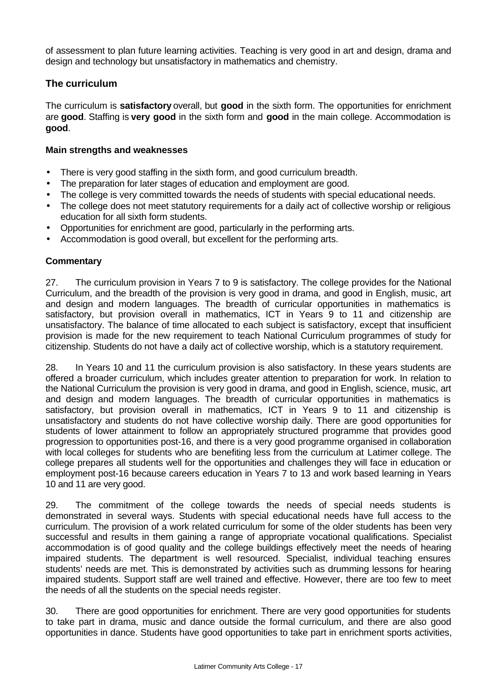of assessment to plan future learning activities. Teaching is very good in art and design, drama and design and technology but unsatisfactory in mathematics and chemistry.

### **The curriculum**

The curriculum is **satisfactory** overall, but **good** in the sixth form. The opportunities for enrichment are **good**. Staffing is **very good** in the sixth form and **good** in the main college. Accommodation is **good**.

### **Main strengths and weaknesses**

- There is very good staffing in the sixth form, and good curriculum breadth.
- The preparation for later stages of education and employment are good.
- The college is very committed towards the needs of students with special educational needs.
- The college does not meet statutory requirements for a daily act of collective worship or religious education for all sixth form students.
- Opportunities for enrichment are good, particularly in the performing arts.
- Accommodation is good overall, but excellent for the performing arts.

### **Commentary**

27. The curriculum provision in Years 7 to 9 is satisfactory. The college provides for the National Curriculum, and the breadth of the provision is very good in drama, and good in English, music, art and design and modern languages. The breadth of curricular opportunities in mathematics is satisfactory, but provision overall in mathematics, ICT in Years 9 to 11 and citizenship are unsatisfactory. The balance of time allocated to each subject is satisfactory, except that insufficient provision is made for the new requirement to teach National Curriculum programmes of study for citizenship. Students do not have a daily act of collective worship, which is a statutory requirement.

28. In Years 10 and 11 the curriculum provision is also satisfactory. In these years students are offered a broader curriculum, which includes greater attention to preparation for work. In relation to the National Curriculum the provision is very good in drama, and good in English, science, music, art and design and modern languages. The breadth of curricular opportunities in mathematics is satisfactory, but provision overall in mathematics, ICT in Years 9 to 11 and citizenship is unsatisfactory and students do not have collective worship daily. There are good opportunities for students of lower attainment to follow an appropriately structured programme that provides good progression to opportunities post-16, and there is a very good programme organised in collaboration with local colleges for students who are benefiting less from the curriculum at Latimer college. The college prepares all students well for the opportunities and challenges they will face in education or employment post-16 because careers education in Years 7 to 13 and work based learning in Years 10 and 11 are very good.

29. The commitment of the college towards the needs of special needs students is demonstrated in several ways. Students with special educational needs have full access to the curriculum. The provision of a work related curriculum for some of the older students has been very successful and results in them gaining a range of appropriate vocational qualifications. Specialist accommodation is of good quality and the college buildings effectively meet the needs of hearing impaired students. The department is well resourced. Specialist, individual teaching ensures students' needs are met. This is demonstrated by activities such as drumming lessons for hearing impaired students. Support staff are well trained and effective. However, there are too few to meet the needs of all the students on the special needs register.

30. There are good opportunities for enrichment. There are very good opportunities for students to take part in drama, music and dance outside the formal curriculum, and there are also good opportunities in dance. Students have good opportunities to take part in enrichment sports activities,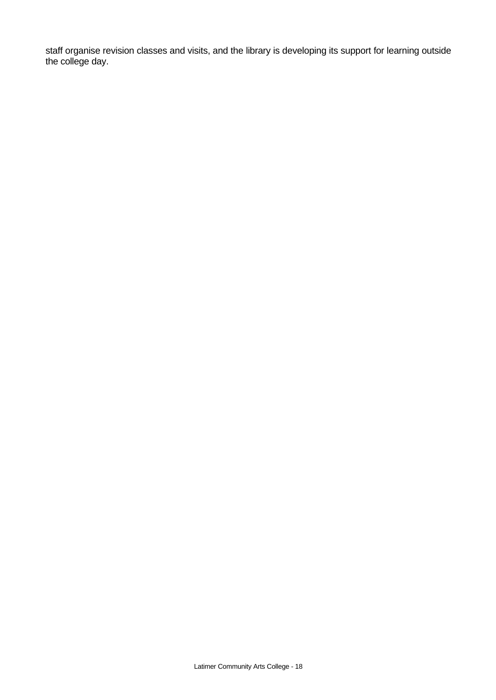staff organise revision classes and visits, and the library is developing its support for learning outside the college day.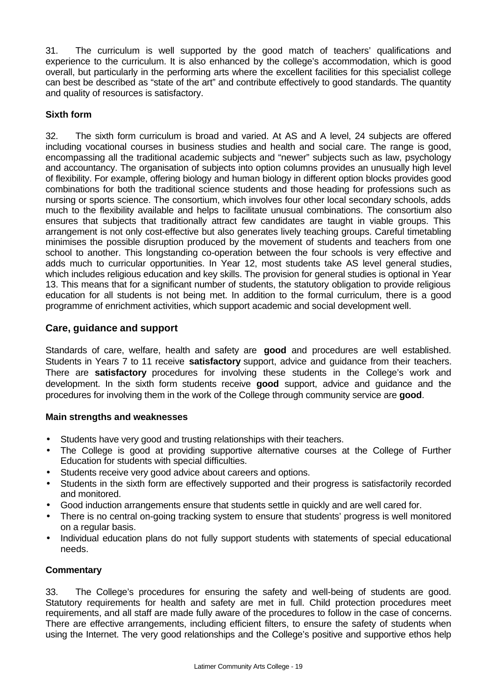31. The curriculum is well supported by the good match of teachers' qualifications and experience to the curriculum. It is also enhanced by the college's accommodation, which is good overall, but particularly in the performing arts where the excellent facilities for this specialist college can best be described as "state of the art" and contribute effectively to good standards. The quantity and quality of resources is satisfactory.

### **Sixth form**

32. The sixth form curriculum is broad and varied. At AS and A level, 24 subjects are offered including vocational courses in business studies and health and social care. The range is good, encompassing all the traditional academic subjects and "newer" subjects such as law, psychology and accountancy. The organisation of subjects into option columns provides an unusually high level of flexibility. For example, offering biology and human biology in different option blocks provides good combinations for both the traditional science students and those heading for professions such as nursing or sports science. The consortium, which involves four other local secondary schools, adds much to the flexibility available and helps to facilitate unusual combinations. The consortium also ensures that subjects that traditionally attract few candidates are taught in viable groups. This arrangement is not only cost-effective but also generates lively teaching groups. Careful timetabling minimises the possible disruption produced by the movement of students and teachers from one school to another. This longstanding co-operation between the four schools is very effective and adds much to curricular opportunities. In Year 12, most students take AS level general studies, which includes religious education and key skills. The provision for general studies is optional in Year 13. This means that for a significant number of students, the statutory obligation to provide religious education for all students is not being met. In addition to the formal curriculum, there is a good programme of enrichment activities, which support academic and social development well.

### **Care, guidance and support**

Standards of care, welfare, health and safety are **good** and procedures are well established. Students in Years 7 to 11 receive **satisfactory** support, advice and guidance from their teachers. There are **satisfactory** procedures for involving these students in the College's work and development. In the sixth form students receive **good** support, advice and guidance and the procedures for involving them in the work of the College through community service are **good**.

### **Main strengths and weaknesses**

- Students have very good and trusting relationships with their teachers.
- The College is good at providing supportive alternative courses at the College of Further Education for students with special difficulties.
- Students receive very good advice about careers and options.
- Students in the sixth form are effectively supported and their progress is satisfactorily recorded and monitored.
- Good induction arrangements ensure that students settle in quickly and are well cared for.
- There is no central on-going tracking system to ensure that students' progress is well monitored on a regular basis.
- Individual education plans do not fully support students with statements of special educational needs.

### **Commentary**

33. The College's procedures for ensuring the safety and well-being of students are good. Statutory requirements for health and safety are met in full. Child protection procedures meet requirements, and all staff are made fully aware of the procedures to follow in the case of concerns. There are effective arrangements, including efficient filters, to ensure the safety of students when using the Internet. The very good relationships and the College's positive and supportive ethos help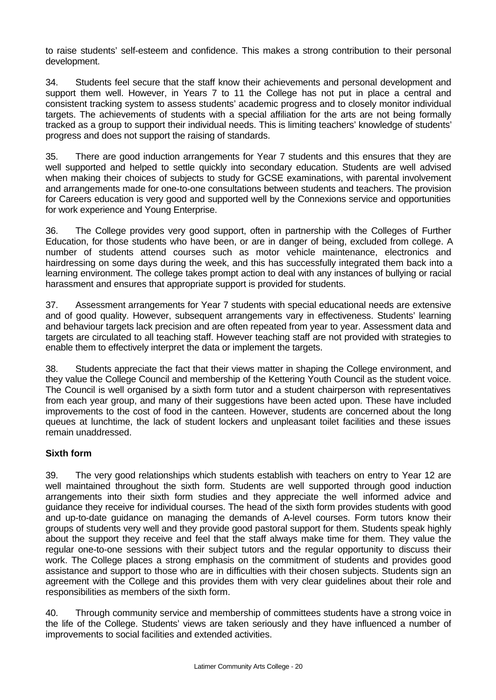to raise students' self-esteem and confidence. This makes a strong contribution to their personal development.

34. Students feel secure that the staff know their achievements and personal development and support them well. However, in Years 7 to 11 the College has not put in place a central and consistent tracking system to assess students' academic progress and to closely monitor individual targets. The achievements of students with a special affiliation for the arts are not being formally tracked as a group to support their individual needs. This is limiting teachers' knowledge of students' progress and does not support the raising of standards.

35. There are good induction arrangements for Year 7 students and this ensures that they are well supported and helped to settle quickly into secondary education. Students are well advised when making their choices of subjects to study for GCSE examinations, with parental involvement and arrangements made for one-to-one consultations between students and teachers. The provision for Careers education is very good and supported well by the Connexions service and opportunities for work experience and Young Enterprise.

36. The College provides very good support, often in partnership with the Colleges of Further Education, for those students who have been, or are in danger of being, excluded from college. A number of students attend courses such as motor vehicle maintenance, electronics and hairdressing on some days during the week, and this has successfully integrated them back into a learning environment. The college takes prompt action to deal with any instances of bullying or racial harassment and ensures that appropriate support is provided for students.

37. Assessment arrangements for Year 7 students with special educational needs are extensive and of good quality. However, subsequent arrangements vary in effectiveness. Students' learning and behaviour targets lack precision and are often repeated from year to year. Assessment data and targets are circulated to all teaching staff. However teaching staff are not provided with strategies to enable them to effectively interpret the data or implement the targets.

38. Students appreciate the fact that their views matter in shaping the College environment, and they value the College Council and membership of the Kettering Youth Council as the student voice. The Council is well organised by a sixth form tutor and a student chairperson with representatives from each year group, and many of their suggestions have been acted upon. These have included improvements to the cost of food in the canteen. However, students are concerned about the long queues at lunchtime, the lack of student lockers and unpleasant toilet facilities and these issues remain unaddressed.

### **Sixth form**

39. The very good relationships which students establish with teachers on entry to Year 12 are well maintained throughout the sixth form. Students are well supported through good induction arrangements into their sixth form studies and they appreciate the well informed advice and guidance they receive for individual courses. The head of the sixth form provides students with good and up-to-date guidance on managing the demands of A-level courses. Form tutors know their groups of students very well and they provide good pastoral support for them. Students speak highly about the support they receive and feel that the staff always make time for them. They value the regular one-to-one sessions with their subject tutors and the regular opportunity to discuss their work. The College places a strong emphasis on the commitment of students and provides good assistance and support to those who are in difficulties with their chosen subjects. Students sign an agreement with the College and this provides them with very clear guidelines about their role and responsibilities as members of the sixth form.

40. Through community service and membership of committees students have a strong voice in the life of the College. Students' views are taken seriously and they have influenced a number of improvements to social facilities and extended activities.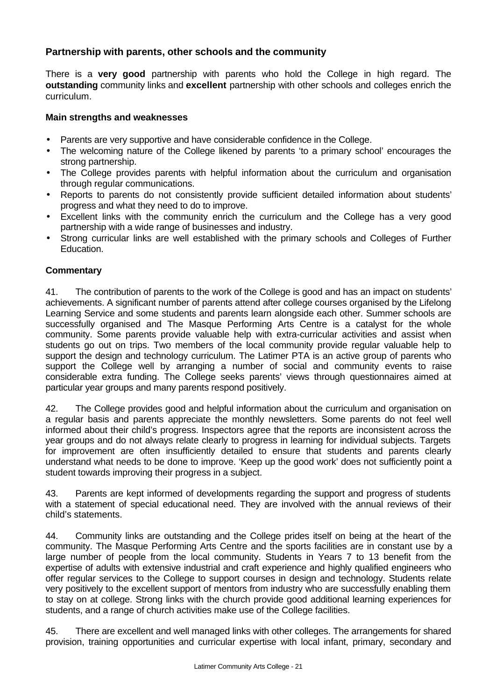### **Partnership with parents, other schools and the community**

There is a **very good** partnership with parents who hold the College in high regard. The **outstanding** community links and **excellent** partnership with other schools and colleges enrich the curriculum.

### **Main strengths and weaknesses**

- Parents are very supportive and have considerable confidence in the College.
- The welcoming nature of the College likened by parents 'to a primary school' encourages the strong partnership.
- The College provides parents with helpful information about the curriculum and organisation through regular communications.
- Reports to parents do not consistently provide sufficient detailed information about students' progress and what they need to do to improve.
- Excellent links with the community enrich the curriculum and the College has a very good partnership with a wide range of businesses and industry.
- Strong curricular links are well established with the primary schools and Colleges of Further Education.

### **Commentary**

41. The contribution of parents to the work of the College is good and has an impact on students' achievements. A significant number of parents attend after college courses organised by the Lifelong Learning Service and some students and parents learn alongside each other. Summer schools are successfully organised and The Masque Performing Arts Centre is a catalyst for the whole community. Some parents provide valuable help with extra-curricular activities and assist when students go out on trips. Two members of the local community provide regular valuable help to support the design and technology curriculum. The Latimer PTA is an active group of parents who support the College well by arranging a number of social and community events to raise considerable extra funding. The College seeks parents' views through questionnaires aimed at particular year groups and many parents respond positively.

42. The College provides good and helpful information about the curriculum and organisation on a regular basis and parents appreciate the monthly newsletters. Some parents do not feel well informed about their child's progress. Inspectors agree that the reports are inconsistent across the year groups and do not always relate clearly to progress in learning for individual subjects. Targets for improvement are often insufficiently detailed to ensure that students and parents clearly understand what needs to be done to improve. 'Keep up the good work' does not sufficiently point a student towards improving their progress in a subject.

43. Parents are kept informed of developments regarding the support and progress of students with a statement of special educational need. They are involved with the annual reviews of their child's statements.

44. Community links are outstanding and the College prides itself on being at the heart of the community. The Masque Performing Arts Centre and the sports facilities are in constant use by a large number of people from the local community. Students in Years 7 to 13 benefit from the expertise of adults with extensive industrial and craft experience and highly qualified engineers who offer regular services to the College to support courses in design and technology. Students relate very positively to the excellent support of mentors from industry who are successfully enabling them to stay on at college. Strong links with the church provide good additional learning experiences for students, and a range of church activities make use of the College facilities.

45. There are excellent and well managed links with other colleges. The arrangements for shared provision, training opportunities and curricular expertise with local infant, primary, secondary and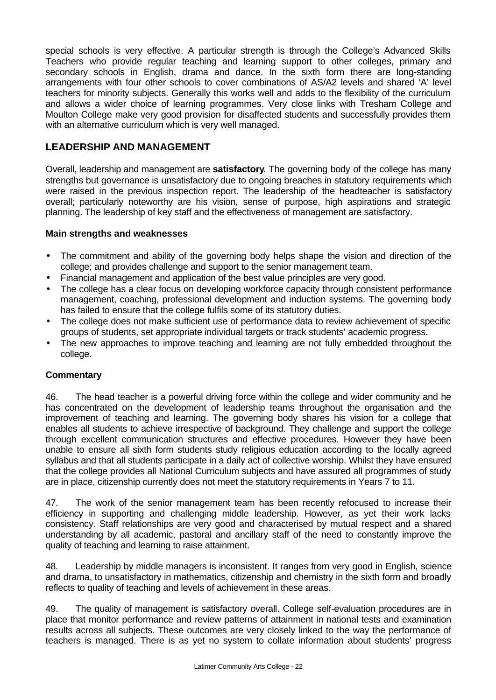special schools is very effective. A particular strength is through the College's Advanced Skills Teachers who provide regular teaching and learning support to other colleges, primary and secondary schools in English, drama and dance. In the sixth form there are long-standing arrangements with four other schools to cover combinations of AS/A2 levels and shared 'A' level teachers for minority subjects. Generally this works well and adds to the flexibility of the curriculum and allows a wider choice of learning programmes. Very close links with Tresham College and Moulton College make very good provision for disaffected students and successfully provides them with an alternative curriculum which is very well managed.

### **LEADERSHIP AND MANAGEMENT**

Overall, leadership and management are **satisfactory**. The governing body of the college has many strengths but governance is unsatisfactory due to ongoing breaches in statutory requirements which were raised in the previous inspection report. The leadership of the headteacher is satisfactory overall; particularly noteworthy are his vision, sense of purpose, high aspirations and strategic planning. The leadership of key staff and the effectiveness of management are satisfactory.

### **Main strengths and weaknesses**

- The commitment and ability of the governing body helps shape the vision and direction of the college; and provides challenge and support to the senior management team.
- Financial management and application of the best value principles are very good.
- The college has a clear focus on developing workforce capacity through consistent performance management, coaching, professional development and induction systems. The governing body has failed to ensure that the college fulfils some of its statutory duties.
- The college does not make sufficient use of performance data to review achievement of specific groups of students, set appropriate individual targets or track students' academic progress.
- The new approaches to improve teaching and learning are not fully embedded throughout the college.

### **Commentary**

46. The head teacher is a powerful driving force within the college and wider community and he has concentrated on the development of leadership teams throughout the organisation and the improvement of teaching and learning. The governing body shares his vision for a college that enables all students to achieve irrespective of background. They challenge and support the college through excellent communication structures and effective procedures. However they have been unable to ensure all sixth form students study religious education according to the locally agreed syllabus and that all students participate in a daily act of collective worship. Whilst they have ensured that the college provides all National Curriculum subjects and have assured all programmes of study are in place, citizenship currently does not meet the statutory requirements in Years 7 to 11.

47. The work of the senior management team has been recently refocused to increase their efficiency in supporting and challenging middle leadership. However, as yet their work lacks consistency. Staff relationships are very good and characterised by mutual respect and a shared understanding by all academic, pastoral and ancillary staff of the need to constantly improve the quality of teaching and learning to raise attainment.

48. Leadership by middle managers is inconsistent. It ranges from very good in English, science and drama, to unsatisfactory in mathematics, citizenship and chemistry in the sixth form and broadly reflects to quality of teaching and levels of achievement in these areas.

49. The quality of management is satisfactory overall. College self-evaluation procedures are in place that monitor performance and review patterns of attainment in national tests and examination results across all subjects. These outcomes are very closely linked to the way the performance of teachers is managed. There is as yet no system to collate information about students' progress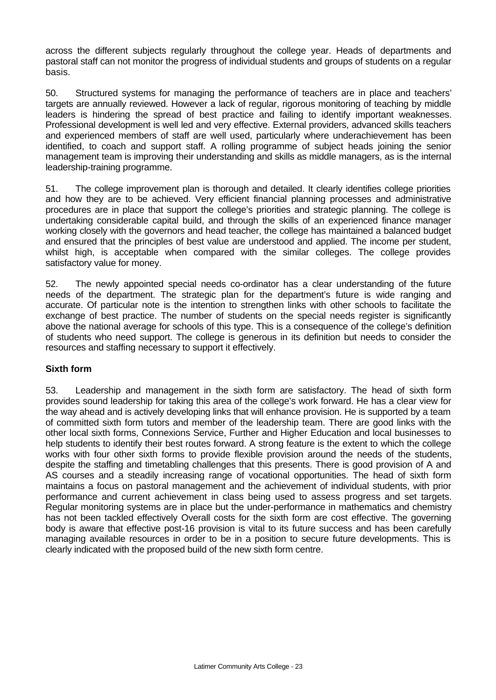across the different subjects regularly throughout the college year. Heads of departments and pastoral staff can not monitor the progress of individual students and groups of students on a regular basis.

50. Structured systems for managing the performance of teachers are in place and teachers' targets are annually reviewed. However a lack of regular, rigorous monitoring of teaching by middle leaders is hindering the spread of best practice and failing to identify important weaknesses. Professional development is well led and very effective. External providers, advanced skills teachers and experienced members of staff are well used, particularly where underachievement has been identified, to coach and support staff. A rolling programme of subject heads joining the senior management team is improving their understanding and skills as middle managers, as is the internal leadership-training programme.

51. The college improvement plan is thorough and detailed. It clearly identifies college priorities and how they are to be achieved. Very efficient financial planning processes and administrative procedures are in place that support the college's priorities and strategic planning. The college is undertaking considerable capital build, and through the skills of an experienced finance manager working closely with the governors and head teacher, the college has maintained a balanced budget and ensured that the principles of best value are understood and applied. The income per student, whilst high, is acceptable when compared with the similar colleges. The college provides satisfactory value for money.

52. The newly appointed special needs co-ordinator has a clear understanding of the future needs of the department. The strategic plan for the department's future is wide ranging and accurate. Of particular note is the intention to strengthen links with other schools to facilitate the exchange of best practice. The number of students on the special needs register is significantly above the national average for schools of this type. This is a consequence of the college's definition of students who need support. The college is generous in its definition but needs to consider the resources and staffing necessary to support it effectively.

### **Sixth form**

53. Leadership and management in the sixth form are satisfactory. The head of sixth form provides sound leadership for taking this area of the college's work forward. He has a clear view for the way ahead and is actively developing links that will enhance provision. He is supported by a team of committed sixth form tutors and member of the leadership team. There are good links with the other local sixth forms, Connexions Service, Further and Higher Education and local businesses to help students to identify their best routes forward. A strong feature is the extent to which the college works with four other sixth forms to provide flexible provision around the needs of the students, despite the staffing and timetabling challenges that this presents. There is good provision of A and AS courses and a steadily increasing range of vocational opportunities. The head of sixth form maintains a focus on pastoral management and the achievement of individual students, with prior performance and current achievement in class being used to assess progress and set targets. Regular monitoring systems are in place but the under-performance in mathematics and chemistry has not been tackled effectively Overall costs for the sixth form are cost effective. The governing body is aware that effective post-16 provision is vital to its future success and has been carefully managing available resources in order to be in a position to secure future developments. This is clearly indicated with the proposed build of the new sixth form centre.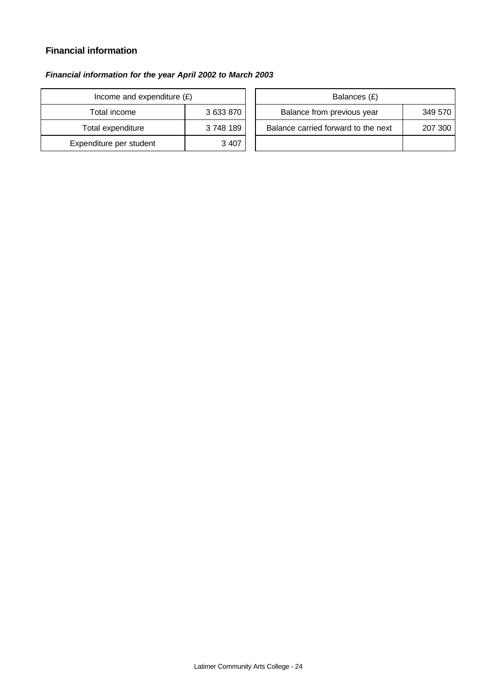### **Financial information**

### *Financial information for the year April 2002 to March 2003*

| Income and expenditure $(E)$ |           | Balances (£)                     |
|------------------------------|-----------|----------------------------------|
| Total income                 | 3 633 870 | Balance from previous year       |
| Total expenditure            | 3748189   | Balance carried forward to the i |
| Expenditure per student      | 3 4 0 7   |                                  |

| Income and expenditure $(E)$ |           | Balances (£)                        |         |
|------------------------------|-----------|-------------------------------------|---------|
| Total income                 | 3 633 870 | Balance from previous year          | 349 570 |
| Total expenditure            | 3748189   | Balance carried forward to the next | 207 300 |
| enditure per student         | 3 4 0 7   |                                     |         |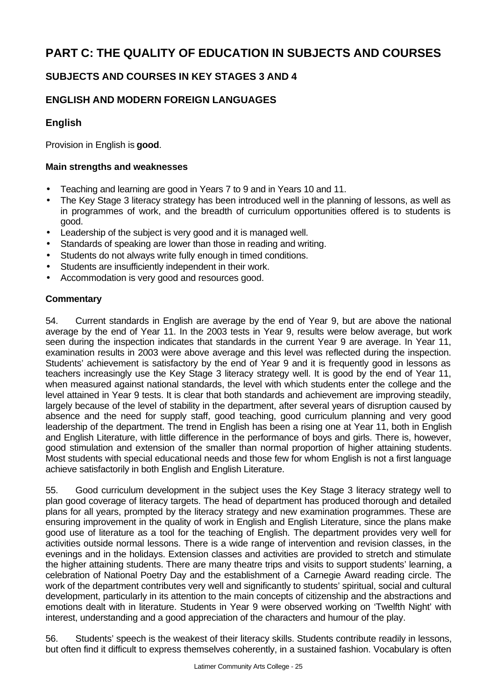# **PART C: THE QUALITY OF EDUCATION IN SUBJECTS AND COURSES**

### **SUBJECTS AND COURSES IN KEY STAGES 3 AND 4**

### **ENGLISH AND MODERN FOREIGN LANGUAGES**

### **English**

Provision in English is **good**.

### **Main strengths and weaknesses**

- Teaching and learning are good in Years 7 to 9 and in Years 10 and 11.
- The Key Stage 3 literacy strategy has been introduced well in the planning of lessons, as well as in programmes of work, and the breadth of curriculum opportunities offered is to students is good.
- Leadership of the subject is very good and it is managed well.
- Standards of speaking are lower than those in reading and writing.
- Students do not always write fully enough in timed conditions.
- Students are insufficiently independent in their work.
- Accommodation is very good and resources good.

### **Commentary**

54. Current standards in English are average by the end of Year 9, but are above the national average by the end of Year 11. In the 2003 tests in Year 9, results were below average, but work seen during the inspection indicates that standards in the current Year 9 are average. In Year 11, examination results in 2003 were above average and this level was reflected during the inspection. Students' achievement is satisfactory by the end of Year 9 and it is frequently good in lessons as teachers increasingly use the Key Stage 3 literacy strategy well. It is good by the end of Year 11, when measured against national standards, the level with which students enter the college and the level attained in Year 9 tests. It is clear that both standards and achievement are improving steadily, largely because of the level of stability in the department, after several years of disruption caused by absence and the need for supply staff, good teaching, good curriculum planning and very good leadership of the department. The trend in English has been a rising one at Year 11, both in English and English Literature, with little difference in the performance of boys and girls. There is, however, good stimulation and extension of the smaller than normal proportion of higher attaining students. Most students with special educational needs and those few for whom English is not a first language achieve satisfactorily in both English and English Literature.

55. Good curriculum development in the subject uses the Key Stage 3 literacy strategy well to plan good coverage of literacy targets. The head of department has produced thorough and detailed plans for all years, prompted by the literacy strategy and new examination programmes. These are ensuring improvement in the quality of work in English and English Literature, since the plans make good use of literature as a tool for the teaching of English. The department provides very well for activities outside normal lessons. There is a wide range of intervention and revision classes, in the evenings and in the holidays. Extension classes and activities are provided to stretch and stimulate the higher attaining students. There are many theatre trips and visits to support students' learning, a celebration of National Poetry Day and the establishment of a Carnegie Award reading circle. The work of the department contributes very well and significantly to students' spiritual, social and cultural development, particularly in its attention to the main concepts of citizenship and the abstractions and emotions dealt with in literature. Students in Year 9 were observed working on 'Twelfth Night' with interest, understanding and a good appreciation of the characters and humour of the play.

56. Students' speech is the weakest of their literacy skills. Students contribute readily in lessons, but often find it difficult to express themselves coherently, in a sustained fashion. Vocabulary is often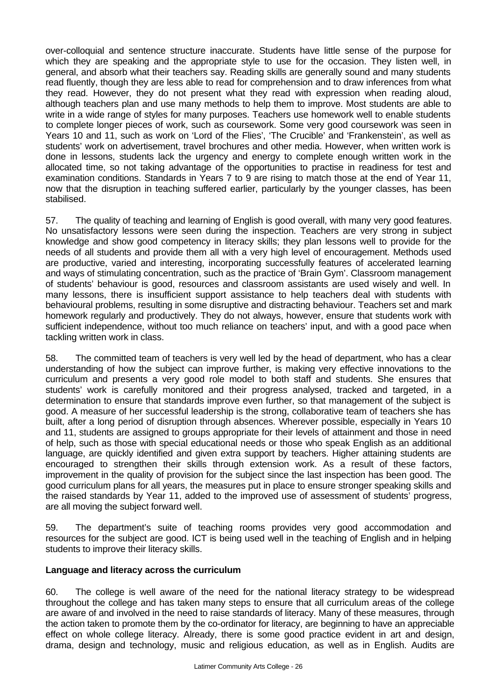over-colloquial and sentence structure inaccurate. Students have little sense of the purpose for which they are speaking and the appropriate style to use for the occasion. They listen well, in general, and absorb what their teachers say. Reading skills are generally sound and many students read fluently, though they are less able to read for comprehension and to draw inferences from what they read. However, they do not present what they read with expression when reading aloud, although teachers plan and use many methods to help them to improve. Most students are able to write in a wide range of styles for many purposes. Teachers use homework well to enable students to complete longer pieces of work, such as coursework. Some very good coursework was seen in Years 10 and 11, such as work on 'Lord of the Flies', 'The Crucible' and 'Frankenstein', as well as students' work on advertisement, travel brochures and other media. However, when written work is done in lessons, students lack the urgency and energy to complete enough written work in the allocated time, so not taking advantage of the opportunities to practise in readiness for test and examination conditions. Standards in Years 7 to 9 are rising to match those at the end of Year 11, now that the disruption in teaching suffered earlier, particularly by the younger classes, has been stabilised.

57. The quality of teaching and learning of English is good overall, with many very good features. No unsatisfactory lessons were seen during the inspection. Teachers are very strong in subject knowledge and show good competency in literacy skills; they plan lessons well to provide for the needs of all students and provide them all with a very high level of encouragement. Methods used are productive, varied and interesting, incorporating successfully features of accelerated learning and ways of stimulating concentration, such as the practice of 'Brain Gym'. Classroom management of students' behaviour is good, resources and classroom assistants are used wisely and well. In many lessons, there is insufficient support assistance to help teachers deal with students with behavioural problems, resulting in some disruptive and distracting behaviour. Teachers set and mark homework regularly and productively. They do not always, however, ensure that students work with sufficient independence, without too much reliance on teachers' input, and with a good pace when tackling written work in class.

58. The committed team of teachers is very well led by the head of department, who has a clear understanding of how the subject can improve further, is making very effective innovations to the curriculum and presents a very good role model to both staff and students. She ensures that students' work is carefully monitored and their progress analysed, tracked and targeted, in a determination to ensure that standards improve even further, so that management of the subject is good. A measure of her successful leadership is the strong, collaborative team of teachers she has built, after a long period of disruption through absences. Wherever possible, especially in Years 10 and 11, students are assigned to groups appropriate for their levels of attainment and those in need of help, such as those with special educational needs or those who speak English as an additional language, are quickly identified and given extra support by teachers. Higher attaining students are encouraged to strengthen their skills through extension work. As a result of these factors, improvement in the quality of provision for the subject since the last inspection has been good. The good curriculum plans for all years, the measures put in place to ensure stronger speaking skills and the raised standards by Year 11, added to the improved use of assessment of students' progress, are all moving the subject forward well.

59. The department's suite of teaching rooms provides very good accommodation and resources for the subject are good. ICT is being used well in the teaching of English and in helping students to improve their literacy skills.

### **Language and literacy across the curriculum**

60. The college is well aware of the need for the national literacy strategy to be widespread throughout the college and has taken many steps to ensure that all curriculum areas of the college are aware of and involved in the need to raise standards of literacy. Many of these measures, through the action taken to promote them by the co-ordinator for literacy, are beginning to have an appreciable effect on whole college literacy. Already, there is some good practice evident in art and design, drama, design and technology, music and religious education, as well as in English. Audits are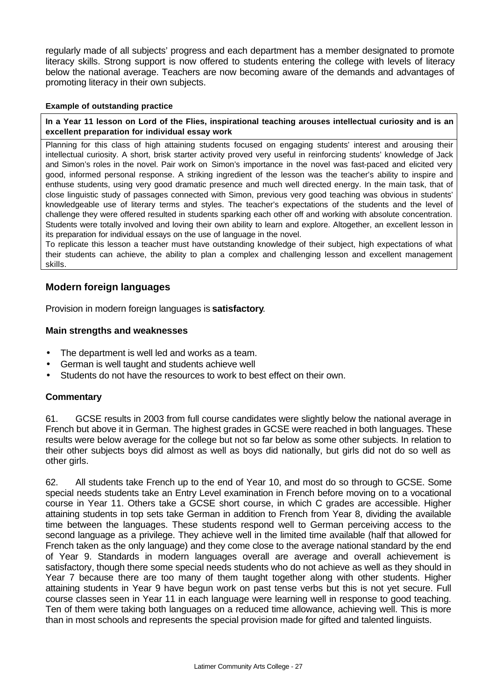regularly made of all subjects' progress and each department has a member designated to promote literacy skills. Strong support is now offered to students entering the college with levels of literacy below the national average. Teachers are now becoming aware of the demands and advantages of promoting literacy in their own subjects.

#### **Example of outstanding practice**

**In a Year 11 lesson on Lord of the Flies, inspirational teaching arouses intellectual curiosity and is an excellent preparation for individual essay work**

Planning for this class of high attaining students focused on engaging students' interest and arousing their intellectual curiosity. A short, brisk starter activity proved very useful in reinforcing students' knowledge of Jack and Simon's roles in the novel. Pair work on Simon's importance in the novel was fast-paced and elicited very good, informed personal response. A striking ingredient of the lesson was the teacher's ability to inspire and enthuse students, using very good dramatic presence and much well directed energy. In the main task, that of close linguistic study of passages connected with Simon, previous very good teaching was obvious in students' knowledgeable use of literary terms and styles. The teacher's expectations of the students and the level of challenge they were offered resulted in students sparking each other off and working with absolute concentration. Students were totally involved and loving their own ability to learn and explore. Altogether, an excellent lesson in its preparation for individual essays on the use of language in the novel.

To replicate this lesson a teacher must have outstanding knowledge of their subject, high expectations of what their students can achieve, the ability to plan a complex and challenging lesson and excellent management skills.

### **Modern foreign languages**

Provision in modern foreign languages is **satisfactory**.

### **Main strengths and weaknesses**

- The department is well led and works as a team.
- German is well taught and students achieve well
- Students do not have the resources to work to best effect on their own.

### **Commentary**

61. GCSE results in 2003 from full course candidates were slightly below the national average in French but above it in German. The highest grades in GCSE were reached in both languages. These results were below average for the college but not so far below as some other subjects. In relation to their other subjects boys did almost as well as boys did nationally, but girls did not do so well as other girls.

62. All students take French up to the end of Year 10, and most do so through to GCSE. Some special needs students take an Entry Level examination in French before moving on to a vocational course in Year 11. Others take a GCSE short course, in which C grades are accessible. Higher attaining students in top sets take German in addition to French from Year 8, dividing the available time between the languages. These students respond well to German perceiving access to the second language as a privilege. They achieve well in the limited time available (half that allowed for French taken as the only language) and they come close to the average national standard by the end of Year 9. Standards in modern languages overall are average and overall achievement is satisfactory, though there some special needs students who do not achieve as well as they should in Year 7 because there are too many of them taught together along with other students. Higher attaining students in Year 9 have begun work on past tense verbs but this is not yet secure. Full course classes seen in Year 11 in each language were learning well in response to good teaching. Ten of them were taking both languages on a reduced time allowance, achieving well. This is more than in most schools and represents the special provision made for gifted and talented linguists.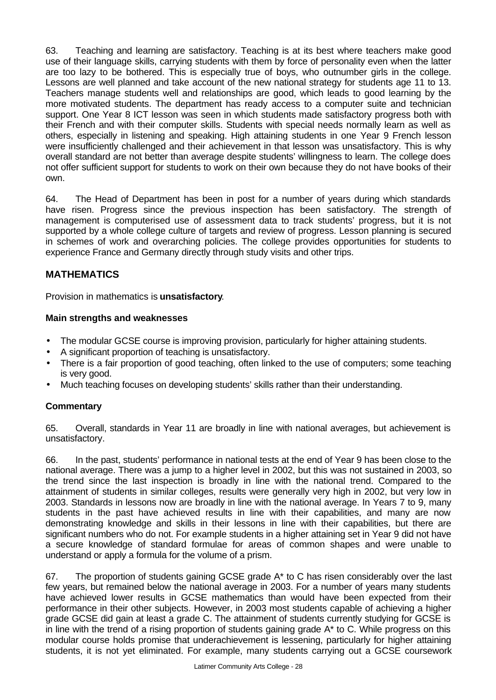63. Teaching and learning are satisfactory. Teaching is at its best where teachers make good use of their language skills, carrying students with them by force of personality even when the latter are too lazy to be bothered. This is especially true of boys, who outnumber girls in the college. Lessons are well planned and take account of the new national strategy for students age 11 to 13. Teachers manage students well and relationships are good, which leads to good learning by the more motivated students. The department has ready access to a computer suite and technician support. One Year 8 ICT lesson was seen in which students made satisfactory progress both with their French and with their computer skills. Students with special needs normally learn as well as others, especially in listening and speaking. High attaining students in one Year 9 French lesson were insufficiently challenged and their achievement in that lesson was unsatisfactory. This is why overall standard are not better than average despite students' willingness to learn. The college does not offer sufficient support for students to work on their own because they do not have books of their own.

64. The Head of Department has been in post for a number of years during which standards have risen. Progress since the previous inspection has been satisfactory. The strength of management is computerised use of assessment data to track students' progress, but it is not supported by a whole college culture of targets and review of progress. Lesson planning is secured in schemes of work and overarching policies. The college provides opportunities for students to experience France and Germany directly through study visits and other trips.

### **MATHEMATICS**

Provision in mathematics is **unsatisfactory**.

### **Main strengths and weaknesses**

- The modular GCSE course is improving provision, particularly for higher attaining students.
- A significant proportion of teaching is unsatisfactory.
- There is a fair proportion of good teaching, often linked to the use of computers; some teaching is very good.
- Much teaching focuses on developing students' skills rather than their understanding.

### **Commentary**

65. Overall, standards in Year 11 are broadly in line with national averages, but achievement is unsatisfactory.

66. In the past, students' performance in national tests at the end of Year 9 has been close to the national average. There was a jump to a higher level in 2002, but this was not sustained in 2003, so the trend since the last inspection is broadly in line with the national trend. Compared to the attainment of students in similar colleges, results were generally very high in 2002, but very low in 2003. Standards in lessons now are broadly in line with the national average. In Years 7 to 9, many students in the past have achieved results in line with their capabilities, and many are now demonstrating knowledge and skills in their lessons in line with their capabilities, but there are significant numbers who do not. For example students in a higher attaining set in Year 9 did not have a secure knowledge of standard formulae for areas of common shapes and were unable to understand or apply a formula for the volume of a prism.

67. The proportion of students gaining GCSE grade A\* to C has risen considerably over the last few years, but remained below the national average in 2003. For a number of years many students have achieved lower results in GCSE mathematics than would have been expected from their performance in their other subjects. However, in 2003 most students capable of achieving a higher grade GCSE did gain at least a grade C. The attainment of students currently studying for GCSE is in line with the trend of a rising proportion of students gaining grade A\* to C. While progress on this modular course holds promise that underachievement is lessening, particularly for higher attaining students, it is not yet eliminated. For example, many students carrying out a GCSE coursework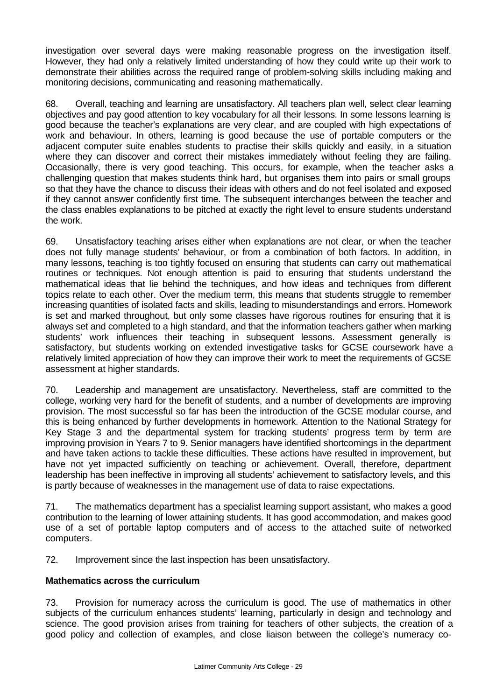investigation over several days were making reasonable progress on the investigation itself. However, they had only a relatively limited understanding of how they could write up their work to demonstrate their abilities across the required range of problem-solving skills including making and monitoring decisions, communicating and reasoning mathematically.

68. Overall, teaching and learning are unsatisfactory. All teachers plan well, select clear learning objectives and pay good attention to key vocabulary for all their lessons. In some lessons learning is good because the teacher's explanations are very clear, and are coupled with high expectations of work and behaviour. In others, learning is good because the use of portable computers or the adjacent computer suite enables students to practise their skills quickly and easily, in a situation where they can discover and correct their mistakes immediately without feeling they are failing. Occasionally, there is very good teaching. This occurs, for example, when the teacher asks a challenging question that makes students think hard, but organises them into pairs or small groups so that they have the chance to discuss their ideas with others and do not feel isolated and exposed if they cannot answer confidently first time. The subsequent interchanges between the teacher and the class enables explanations to be pitched at exactly the right level to ensure students understand the work.

69. Unsatisfactory teaching arises either when explanations are not clear, or when the teacher does not fully manage students' behaviour, or from a combination of both factors. In addition, in many lessons, teaching is too tightly focused on ensuring that students can carry out mathematical routines or techniques. Not enough attention is paid to ensuring that students understand the mathematical ideas that lie behind the techniques, and how ideas and techniques from different topics relate to each other. Over the medium term, this means that students struggle to remember increasing quantities of isolated facts and skills, leading to misunderstandings and errors. Homework is set and marked throughout, but only some classes have rigorous routines for ensuring that it is always set and completed to a high standard, and that the information teachers gather when marking students' work influences their teaching in subsequent lessons. Assessment generally is satisfactory, but students working on extended investigative tasks for GCSE coursework have a relatively limited appreciation of how they can improve their work to meet the requirements of GCSE assessment at higher standards.

70. Leadership and management are unsatisfactory. Nevertheless, staff are committed to the college, working very hard for the benefit of students, and a number of developments are improving provision. The most successful so far has been the introduction of the GCSE modular course, and this is being enhanced by further developments in homework. Attention to the National Strategy for Key Stage 3 and the departmental system for tracking students' progress term by term are improving provision in Years 7 to 9. Senior managers have identified shortcomings in the department and have taken actions to tackle these difficulties. These actions have resulted in improvement, but have not yet impacted sufficiently on teaching or achievement. Overall, therefore, department leadership has been ineffective in improving all students' achievement to satisfactory levels, and this is partly because of weaknesses in the management use of data to raise expectations.

71. The mathematics department has a specialist learning support assistant, who makes a good contribution to the learning of lower attaining students. It has good accommodation, and makes good use of a set of portable laptop computers and of access to the attached suite of networked computers.

72. Improvement since the last inspection has been unsatisfactory.

### **Mathematics across the curriculum**

73. Provision for numeracy across the curriculum is good. The use of mathematics in other subjects of the curriculum enhances students' learning, particularly in design and technology and science. The good provision arises from training for teachers of other subjects, the creation of a good policy and collection of examples, and close liaison between the college's numeracy co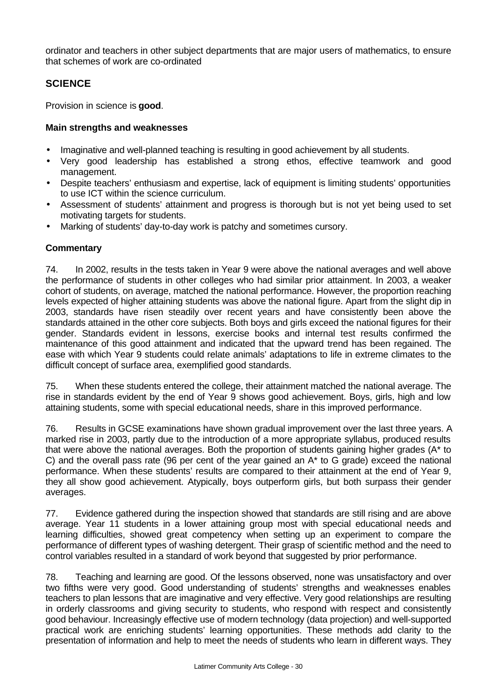ordinator and teachers in other subject departments that are major users of mathematics, to ensure that schemes of work are co-ordinated

### **SCIENCE**

Provision in science is **good**.

### **Main strengths and weaknesses**

- Imaginative and well-planned teaching is resulting in good achievement by all students.
- Very good leadership has established a strong ethos, effective teamwork and good management.
- Despite teachers' enthusiasm and expertise, lack of equipment is limiting students' opportunities to use ICT within the science curriculum.
- Assessment of students' attainment and progress is thorough but is not yet being used to set motivating targets for students.
- Marking of students' day-to-day work is patchy and sometimes cursory.

### **Commentary**

74. In 2002, results in the tests taken in Year 9 were above the national averages and well above the performance of students in other colleges who had similar prior attainment. In 2003, a weaker cohort of students, on average, matched the national performance. However, the proportion reaching levels expected of higher attaining students was above the national figure. Apart from the slight dip in 2003, standards have risen steadily over recent years and have consistently been above the standards attained in the other core subjects. Both boys and girls exceed the national figures for their gender. Standards evident in lessons, exercise books and internal test results confirmed the maintenance of this good attainment and indicated that the upward trend has been regained. The ease with which Year 9 students could relate animals' adaptations to life in extreme climates to the difficult concept of surface area, exemplified good standards.

75. When these students entered the college, their attainment matched the national average. The rise in standards evident by the end of Year 9 shows good achievement. Boys, girls, high and low attaining students, some with special educational needs, share in this improved performance.

76. Results in GCSE examinations have shown gradual improvement over the last three years. A marked rise in 2003, partly due to the introduction of a more appropriate syllabus, produced results that were above the national averages. Both the proportion of students gaining higher grades (A\* to C) and the overall pass rate (96 per cent of the year gained an A\* to G grade) exceed the national performance. When these students' results are compared to their attainment at the end of Year 9, they all show good achievement. Atypically, boys outperform girls, but both surpass their gender averages.

77. Evidence gathered during the inspection showed that standards are still rising and are above average. Year 11 students in a lower attaining group most with special educational needs and learning difficulties, showed great competency when setting up an experiment to compare the performance of different types of washing detergent. Their grasp of scientific method and the need to control variables resulted in a standard of work beyond that suggested by prior performance.

78. Teaching and learning are good. Of the lessons observed, none was unsatisfactory and over two fifths were very good. Good understanding of students' strengths and weaknesses enables teachers to plan lessons that are imaginative and very effective. Very good relationships are resulting in orderly classrooms and giving security to students, who respond with respect and consistently good behaviour. Increasingly effective use of modern technology (data projection) and well-supported practical work are enriching students' learning opportunities. These methods add clarity to the presentation of information and help to meet the needs of students who learn in different ways. They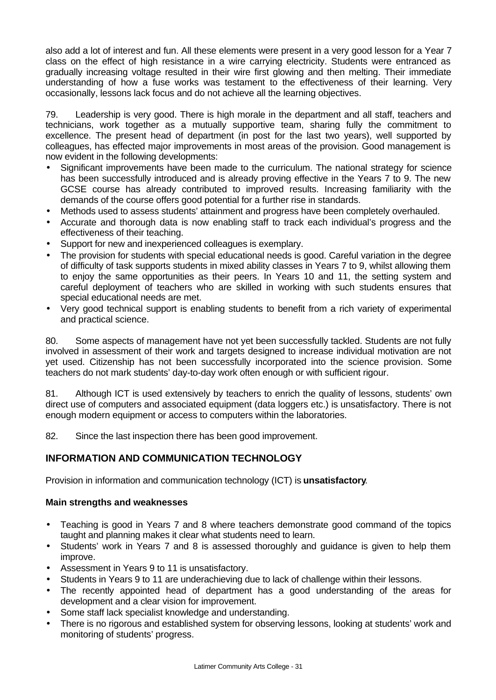also add a lot of interest and fun. All these elements were present in a very good lesson for a Year 7 class on the effect of high resistance in a wire carrying electricity. Students were entranced as gradually increasing voltage resulted in their wire first glowing and then melting. Their immediate understanding of how a fuse works was testament to the effectiveness of their learning. Very occasionally, lessons lack focus and do not achieve all the learning objectives.

79. Leadership is very good. There is high morale in the department and all staff, teachers and technicians, work together as a mutually supportive team, sharing fully the commitment to excellence. The present head of department (in post for the last two years), well supported by colleagues, has effected major improvements in most areas of the provision. Good management is now evident in the following developments:

- Significant improvements have been made to the curriculum. The national strategy for science has been successfully introduced and is already proving effective in the Years 7 to 9. The new GCSE course has already contributed to improved results. Increasing familiarity with the demands of the course offers good potential for a further rise in standards.
- Methods used to assess students' attainment and progress have been completely overhauled.
- Accurate and thorough data is now enabling staff to track each individual's progress and the effectiveness of their teaching.
- Support for new and inexperienced colleagues is exemplary.
- The provision for students with special educational needs is good. Careful variation in the degree of difficulty of task supports students in mixed ability classes in Years 7 to 9, whilst allowing them to enjoy the same opportunities as their peers. In Years 10 and 11, the setting system and careful deployment of teachers who are skilled in working with such students ensures that special educational needs are met.
- Very good technical support is enabling students to benefit from a rich variety of experimental and practical science.

80. Some aspects of management have not yet been successfully tackled. Students are not fully involved in assessment of their work and targets designed to increase individual motivation are not yet used. Citizenship has not been successfully incorporated into the science provision. Some teachers do not mark students' day-to-day work often enough or with sufficient rigour.

81. Although ICT is used extensively by teachers to enrich the quality of lessons, students' own direct use of computers and associated equipment (data loggers etc.) is unsatisfactory. There is not enough modern equipment or access to computers within the laboratories.

82. Since the last inspection there has been good improvement.

### **INFORMATION AND COMMUNICATION TECHNOLOGY**

Provision in information and communication technology (ICT) is **unsatisfactory**.

### **Main strengths and weaknesses**

- Teaching is good in Years 7 and 8 where teachers demonstrate good command of the topics taught and planning makes it clear what students need to learn.
- Students' work in Years 7 and 8 is assessed thoroughly and guidance is given to help them improve.
- Assessment in Years 9 to 11 is unsatisfactory.
- Students in Years 9 to 11 are underachieving due to lack of challenge within their lessons.
- The recently appointed head of department has a good understanding of the areas for development and a clear vision for improvement.
- Some staff lack specialist knowledge and understanding.
- There is no rigorous and established system for observing lessons, looking at students' work and monitoring of students' progress.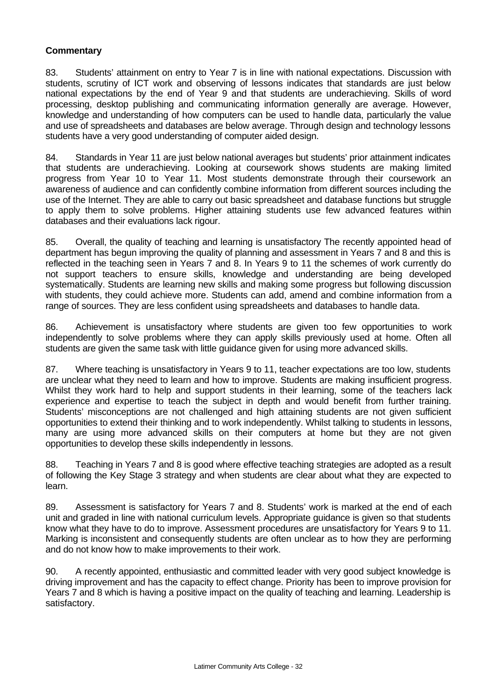### **Commentary**

83. Students' attainment on entry to Year 7 is in line with national expectations. Discussion with students, scrutiny of ICT work and observing of lessons indicates that standards are just below national expectations by the end of Year 9 and that students are underachieving. Skills of word processing, desktop publishing and communicating information generally are average. However, knowledge and understanding of how computers can be used to handle data, particularly the value and use of spreadsheets and databases are below average. Through design and technology lessons students have a very good understanding of computer aided design.

84. Standards in Year 11 are just below national averages but students' prior attainment indicates that students are underachieving. Looking at coursework shows students are making limited progress from Year 10 to Year 11. Most students demonstrate through their coursework an awareness of audience and can confidently combine information from different sources including the use of the Internet. They are able to carry out basic spreadsheet and database functions but struggle to apply them to solve problems. Higher attaining students use few advanced features within databases and their evaluations lack rigour.

85. Overall, the quality of teaching and learning is unsatisfactory The recently appointed head of department has begun improving the quality of planning and assessment in Years 7 and 8 and this is reflected in the teaching seen in Years 7 and 8. In Years 9 to 11 the schemes of work currently do not support teachers to ensure skills, knowledge and understanding are being developed systematically. Students are learning new skills and making some progress but following discussion with students, they could achieve more. Students can add, amend and combine information from a range of sources. They are less confident using spreadsheets and databases to handle data.

86. Achievement is unsatisfactory where students are given too few opportunities to work independently to solve problems where they can apply skills previously used at home. Often all students are given the same task with little guidance given for using more advanced skills.

87. Where teaching is unsatisfactory in Years 9 to 11, teacher expectations are too low, students are unclear what they need to learn and how to improve. Students are making insufficient progress. Whilst they work hard to help and support students in their learning, some of the teachers lack experience and expertise to teach the subject in depth and would benefit from further training. Students' misconceptions are not challenged and high attaining students are not given sufficient opportunities to extend their thinking and to work independently. Whilst talking to students in lessons, many are using more advanced skills on their computers at home but they are not given opportunities to develop these skills independently in lessons.

88. Teaching in Years 7 and 8 is good where effective teaching strategies are adopted as a result of following the Key Stage 3 strategy and when students are clear about what they are expected to learn.

89. Assessment is satisfactory for Years 7 and 8. Students' work is marked at the end of each unit and graded in line with national curriculum levels. Appropriate guidance is given so that students know what they have to do to improve. Assessment procedures are unsatisfactory for Years 9 to 11. Marking is inconsistent and consequently students are often unclear as to how they are performing and do not know how to make improvements to their work.

90. A recently appointed, enthusiastic and committed leader with very good subject knowledge is driving improvement and has the capacity to effect change. Priority has been to improve provision for Years 7 and 8 which is having a positive impact on the quality of teaching and learning. Leadership is satisfactory.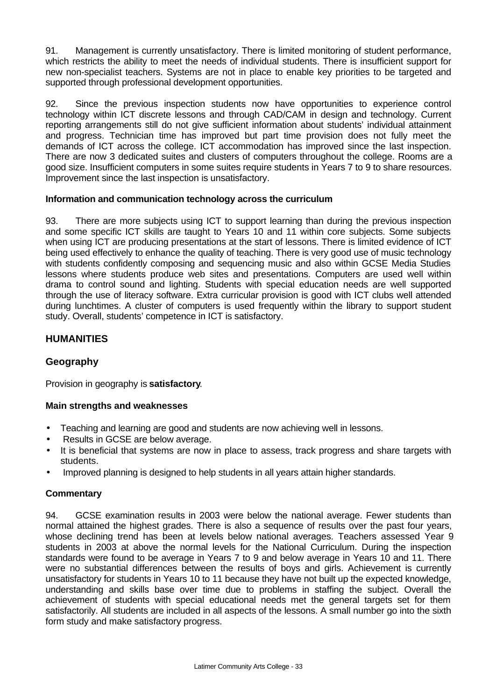91. Management is currently unsatisfactory. There is limited monitoring of student performance, which restricts the ability to meet the needs of individual students. There is insufficient support for new non-specialist teachers. Systems are not in place to enable key priorities to be targeted and supported through professional development opportunities.

92. Since the previous inspection students now have opportunities to experience control technology within ICT discrete lessons and through CAD/CAM in design and technology. Current reporting arrangements still do not give sufficient information about students' individual attainment and progress. Technician time has improved but part time provision does not fully meet the demands of ICT across the college. ICT accommodation has improved since the last inspection. There are now 3 dedicated suites and clusters of computers throughout the college. Rooms are a good size. Insufficient computers in some suites require students in Years 7 to 9 to share resources. Improvement since the last inspection is unsatisfactory.

### **Information and communication technology across the curriculum**

93. There are more subjects using ICT to support learning than during the previous inspection and some specific ICT skills are taught to Years 10 and 11 within core subjects. Some subjects when using ICT are producing presentations at the start of lessons. There is limited evidence of ICT being used effectively to enhance the quality of teaching. There is very good use of music technology with students confidently composing and sequencing music and also within GCSE Media Studies lessons where students produce web sites and presentations. Computers are used well within drama to control sound and lighting. Students with special education needs are well supported through the use of literacy software. Extra curricular provision is good with ICT clubs well attended during lunchtimes. A cluster of computers is used frequently within the library to support student study. Overall, students' competence in ICT is satisfactory.

### **HUMANITIES**

### **Geography**

Provision in geography is **satisfactory**.

### **Main strengths and weaknesses**

- Teaching and learning are good and students are now achieving well in lessons.
- Results in GCSE are below average.
- It is beneficial that systems are now in place to assess, track progress and share targets with students.
- Improved planning is designed to help students in all years attain higher standards.

### **Commentary**

94. GCSE examination results in 2003 were below the national average. Fewer students than normal attained the highest grades. There is also a sequence of results over the past four years, whose declining trend has been at levels below national averages. Teachers assessed Year 9 students in 2003 at above the normal levels for the National Curriculum. During the inspection standards were found to be average in Years 7 to 9 and below average in Years 10 and 11. There were no substantial differences between the results of boys and girls. Achievement is currently unsatisfactory for students in Years 10 to 11 because they have not built up the expected knowledge, understanding and skills base over time due to problems in staffing the subject. Overall the achievement of students with special educational needs met the general targets set for them satisfactorily. All students are included in all aspects of the lessons. A small number go into the sixth form study and make satisfactory progress.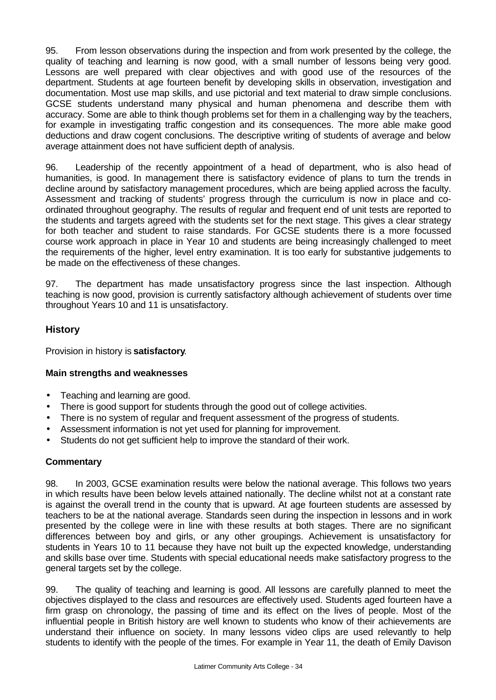95. From lesson observations during the inspection and from work presented by the college, the quality of teaching and learning is now good, with a small number of lessons being very good. Lessons are well prepared with clear objectives and with good use of the resources of the department. Students at age fourteen benefit by developing skills in observation, investigation and documentation. Most use map skills, and use pictorial and text material to draw simple conclusions. GCSE students understand many physical and human phenomena and describe them with accuracy. Some are able to think though problems set for them in a challenging way by the teachers, for example in investigating traffic congestion and its consequences. The more able make good deductions and draw cogent conclusions. The descriptive writing of students of average and below average attainment does not have sufficient depth of analysis.

96. Leadership of the recently appointment of a head of department, who is also head of humanities, is good. In management there is satisfactory evidence of plans to turn the trends in decline around by satisfactory management procedures, which are being applied across the faculty. Assessment and tracking of students' progress through the curriculum is now in place and coordinated throughout geography. The results of regular and frequent end of unit tests are reported to the students and targets agreed with the students set for the next stage. This gives a clear strategy for both teacher and student to raise standards. For GCSE students there is a more focussed course work approach in place in Year 10 and students are being increasingly challenged to meet the requirements of the higher, level entry examination. It is too early for substantive judgements to be made on the effectiveness of these changes.

97. The department has made unsatisfactory progress since the last inspection. Although teaching is now good, provision is currently satisfactory although achievement of students over time throughout Years 10 and 11 is unsatisfactory.

### **History**

Provision in history is **satisfactory**.

### **Main strengths and weaknesses**

- Teaching and learning are good.
- There is good support for students through the good out of college activities.
- There is no system of regular and frequent assessment of the progress of students.
- Assessment information is not yet used for planning for improvement.
- Students do not get sufficient help to improve the standard of their work.

### **Commentary**

98. In 2003, GCSE examination results were below the national average. This follows two years in which results have been below levels attained nationally. The decline whilst not at a constant rate is against the overall trend in the county that is upward. At age fourteen students are assessed by teachers to be at the national average. Standards seen during the inspection in lessons and in work presented by the college were in line with these results at both stages. There are no significant differences between boy and girls, or any other groupings. Achievement is unsatisfactory for students in Years 10 to 11 because they have not built up the expected knowledge, understanding and skills base over time. Students with special educational needs make satisfactory progress to the general targets set by the college.

99. The quality of teaching and learning is good. All lessons are carefully planned to meet the objectives displayed to the class and resources are effectively used. Students aged fourteen have a firm grasp on chronology, the passing of time and its effect on the lives of people. Most of the influential people in British history are well known to students who know of their achievements are understand their influence on society. In many lessons video clips are used relevantly to help students to identify with the people of the times. For example in Year 11, the death of Emily Davison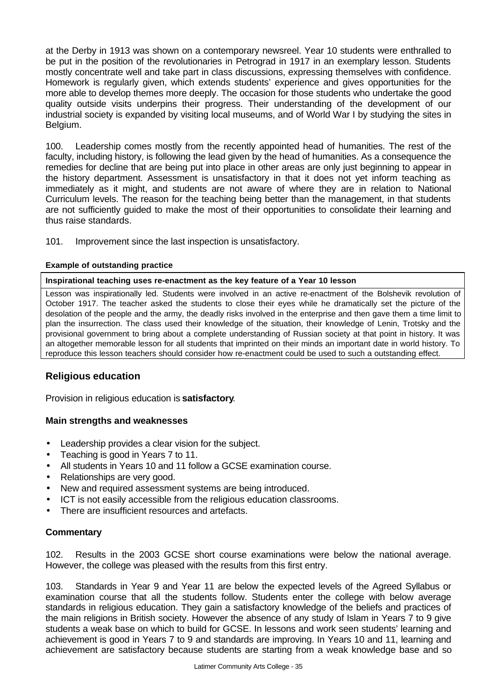at the Derby in 1913 was shown on a contemporary newsreel. Year 10 students were enthralled to be put in the position of the revolutionaries in Petrograd in 1917 in an exemplary lesson. Students mostly concentrate well and take part in class discussions, expressing themselves with confidence. Homework is regularly given, which extends students' experience and gives opportunities for the more able to develop themes more deeply. The occasion for those students who undertake the good quality outside visits underpins their progress. Their understanding of the development of our industrial society is expanded by visiting local museums, and of World War I by studying the sites in Belgium.

100. Leadership comes mostly from the recently appointed head of humanities. The rest of the faculty, including history, is following the lead given by the head of humanities. As a consequence the remedies for decline that are being put into place in other areas are only just beginning to appear in the history department. Assessment is unsatisfactory in that it does not yet inform teaching as immediately as it might, and students are not aware of where they are in relation to National Curriculum levels. The reason for the teaching being better than the management, in that students are not sufficiently guided to make the most of their opportunities to consolidate their learning and thus raise standards.

101. Improvement since the last inspection is unsatisfactory.

### **Example of outstanding practice**

#### **Inspirational teaching uses re-enactment as the key feature of a Year 10 lesson**

Lesson was inspirationally led. Students were involved in an active re-enactment of the Bolshevik revolution of October 1917. The teacher asked the students to close their eyes while he dramatically set the picture of the desolation of the people and the army, the deadly risks involved in the enterprise and then gave them a time limit to plan the insurrection. The class used their knowledge of the situation, their knowledge of Lenin, Trotsky and the provisional government to bring about a complete understanding of Russian society at that point in history. It was an altogether memorable lesson for all students that imprinted on their minds an important date in world history. To reproduce this lesson teachers should consider how re-enactment could be used to such a outstanding effect.

### **Religious education**

Provision in religious education is **satisfactory**.

### **Main strengths and weaknesses**

- Leadership provides a clear vision for the subject.
- Teaching is good in Years 7 to 11.
- All students in Years 10 and 11 follow a GCSE examination course.
- Relationships are very good.
- New and required assessment systems are being introduced.
- ICT is not easily accessible from the religious education classrooms.
- There are insufficient resources and artefacts.

### **Commentary**

102. Results in the 2003 GCSE short course examinations were below the national average. However, the college was pleased with the results from this first entry.

103. Standards in Year 9 and Year 11 are below the expected levels of the Agreed Syllabus or examination course that all the students follow. Students enter the college with below average standards in religious education. They gain a satisfactory knowledge of the beliefs and practices of the main religions in British society. However the absence of any study of Islam in Years 7 to 9 give students a weak base on which to build for GCSE. In lessons and work seen students' learning and achievement is good in Years 7 to 9 and standards are improving. In Years 10 and 11, learning and achievement are satisfactory because students are starting from a weak knowledge base and so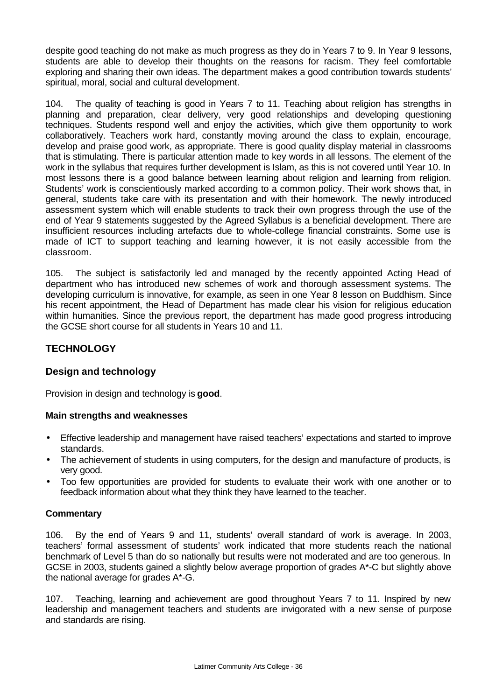despite good teaching do not make as much progress as they do in Years 7 to 9. In Year 9 lessons, students are able to develop their thoughts on the reasons for racism. They feel comfortable exploring and sharing their own ideas. The department makes a good contribution towards students' spiritual, moral, social and cultural development.

104. The quality of teaching is good in Years 7 to 11. Teaching about religion has strengths in planning and preparation, clear delivery, very good relationships and developing questioning techniques. Students respond well and enjoy the activities, which give them opportunity to work collaboratively. Teachers work hard, constantly moving around the class to explain, encourage, develop and praise good work, as appropriate. There is good quality display material in classrooms that is stimulating. There is particular attention made to key words in all lessons. The element of the work in the syllabus that requires further development is Islam, as this is not covered until Year 10. In most lessons there is a good balance between learning about religion and learning from religion. Students' work is conscientiously marked according to a common policy. Their work shows that, in general, students take care with its presentation and with their homework. The newly introduced assessment system which will enable students to track their own progress through the use of the end of Year 9 statements suggested by the Agreed Syllabus is a beneficial development. There are insufficient resources including artefacts due to whole-college financial constraints. Some use is made of ICT to support teaching and learning however, it is not easily accessible from the classroom.

105. The subject is satisfactorily led and managed by the recently appointed Acting Head of department who has introduced new schemes of work and thorough assessment systems. The developing curriculum is innovative, for example, as seen in one Year 8 lesson on Buddhism. Since his recent appointment, the Head of Department has made clear his vision for religious education within humanities. Since the previous report, the department has made good progress introducing the GCSE short course for all students in Years 10 and 11.

### **TECHNOLOGY**

### **Design and technology**

Provision in design and technology is **good**.

### **Main strengths and weaknesses**

- Effective leadership and management have raised teachers' expectations and started to improve standards.
- The achievement of students in using computers, for the design and manufacture of products, is very good.
- Too few opportunities are provided for students to evaluate their work with one another or to feedback information about what they think they have learned to the teacher.

### **Commentary**

106. By the end of Years 9 and 11, students' overall standard of work is average. In 2003, teachers' formal assessment of students' work indicated that more students reach the national benchmark of Level 5 than do so nationally but results were not moderated and are too generous. In GCSE in 2003, students gained a slightly below average proportion of grades A\*-C but slightly above the national average for grades A\*-G.

107. Teaching, learning and achievement are good throughout Years 7 to 11. Inspired by new leadership and management teachers and students are invigorated with a new sense of purpose and standards are rising.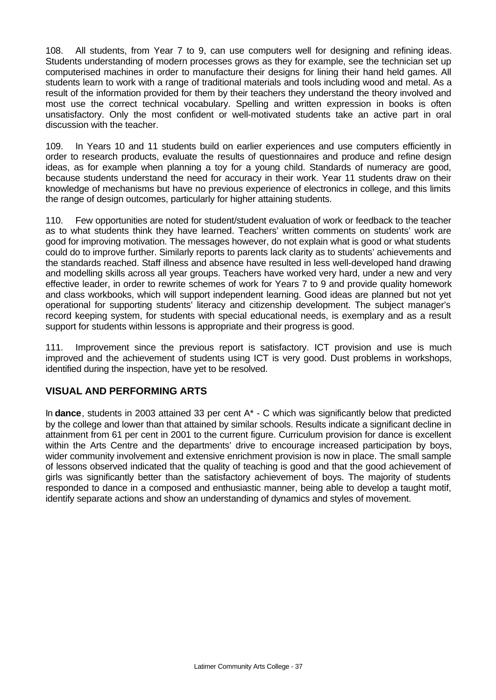108. All students, from Year 7 to 9, can use computers well for designing and refining ideas. Students understanding of modern processes grows as they for example, see the technician set up computerised machines in order to manufacture their designs for lining their hand held games. All students learn to work with a range of traditional materials and tools including wood and metal. As a result of the information provided for them by their teachers they understand the theory involved and most use the correct technical vocabulary. Spelling and written expression in books is often unsatisfactory. Only the most confident or well-motivated students take an active part in oral discussion with the teacher.

109. In Years 10 and 11 students build on earlier experiences and use computers efficiently in order to research products, evaluate the results of questionnaires and produce and refine design ideas, as for example when planning a toy for a young child. Standards of numeracy are good, because students understand the need for accuracy in their work. Year 11 students draw on their knowledge of mechanisms but have no previous experience of electronics in college, and this limits the range of design outcomes, particularly for higher attaining students.

110. Few opportunities are noted for student/student evaluation of work or feedback to the teacher as to what students think they have learned. Teachers' written comments on students' work are good for improving motivation. The messages however, do not explain what is good or what students could do to improve further. Similarly reports to parents lack clarity as to students' achievements and the standards reached. Staff illness and absence have resulted in less well-developed hand drawing and modelling skills across all year groups. Teachers have worked very hard, under a new and very effective leader, in order to rewrite schemes of work for Years 7 to 9 and provide quality homework and class workbooks, which will support independent learning. Good ideas are planned but not yet operational for supporting students' literacy and citizenship development. The subject manager's record keeping system, for students with special educational needs, is exemplary and as a result support for students within lessons is appropriate and their progress is good.

111. Improvement since the previous report is satisfactory. ICT provision and use is much improved and the achievement of students using ICT is very good. Dust problems in workshops, identified during the inspection, have yet to be resolved.

### **VISUAL AND PERFORMING ARTS**

In **dance**, students in 2003 attained 33 per cent A\* - C which was significantly below that predicted by the college and lower than that attained by similar schools. Results indicate a significant decline in attainment from 61 per cent in 2001 to the current figure. Curriculum provision for dance is excellent within the Arts Centre and the departments' drive to encourage increased participation by boys, wider community involvement and extensive enrichment provision is now in place. The small sample of lessons observed indicated that the quality of teaching is good and that the good achievement of girls was significantly better than the satisfactory achievement of boys. The majority of students responded to dance in a composed and enthusiastic manner, being able to develop a taught motif, identify separate actions and show an understanding of dynamics and styles of movement.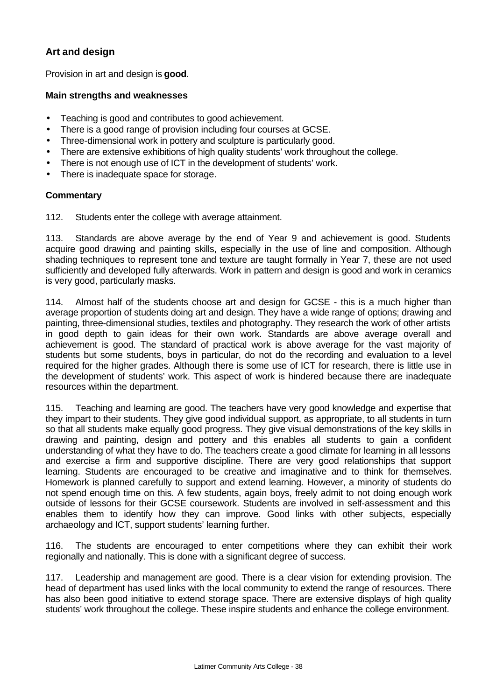### **Art and design**

Provision in art and design is **good**.

### **Main strengths and weaknesses**

- Teaching is good and contributes to good achievement.
- There is a good range of provision including four courses at GCSE.
- Three-dimensional work in pottery and sculpture is particularly good.
- There are extensive exhibitions of high quality students' work throughout the college.
- There is not enough use of ICT in the development of students' work.
- There is inadequate space for storage.

#### **Commentary**

112. Students enter the college with average attainment.

113. Standards are above average by the end of Year 9 and achievement is good. Students acquire good drawing and painting skills, especially in the use of line and composition. Although shading techniques to represent tone and texture are taught formally in Year 7, these are not used sufficiently and developed fully afterwards. Work in pattern and design is good and work in ceramics is very good, particularly masks.

114. Almost half of the students choose art and design for GCSE - this is a much higher than average proportion of students doing art and design. They have a wide range of options; drawing and painting, three-dimensional studies, textiles and photography. They research the work of other artists in good depth to gain ideas for their own work. Standards are above average overall and achievement is good. The standard of practical work is above average for the vast majority of students but some students, boys in particular, do not do the recording and evaluation to a level required for the higher grades. Although there is some use of ICT for research, there is little use in the development of students' work. This aspect of work is hindered because there are inadequate resources within the department.

115. Teaching and learning are good. The teachers have very good knowledge and expertise that they impart to their students. They give good individual support, as appropriate, to all students in turn so that all students make equally good progress. They give visual demonstrations of the key skills in drawing and painting, design and pottery and this enables all students to gain a confident understanding of what they have to do. The teachers create a good climate for learning in all lessons and exercise a firm and supportive discipline. There are very good relationships that support learning. Students are encouraged to be creative and imaginative and to think for themselves. Homework is planned carefully to support and extend learning. However, a minority of students do not spend enough time on this. A few students, again boys, freely admit to not doing enough work outside of lessons for their GCSE coursework. Students are involved in self-assessment and this enables them to identify how they can improve. Good links with other subjects, especially archaeology and ICT, support students' learning further.

116. The students are encouraged to enter competitions where they can exhibit their work regionally and nationally. This is done with a significant degree of success.

117. Leadership and management are good. There is a clear vision for extending provision. The head of department has used links with the local community to extend the range of resources. There has also been good initiative to extend storage space. There are extensive displays of high quality students' work throughout the college. These inspire students and enhance the college environment.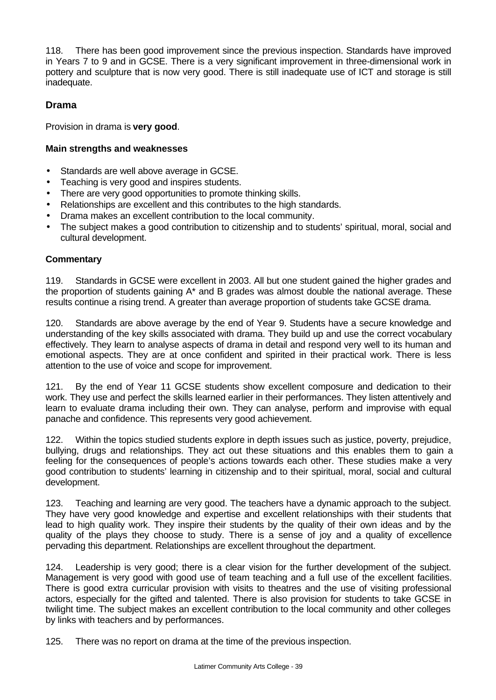118. There has been good improvement since the previous inspection. Standards have improved in Years 7 to 9 and in GCSE. There is a very significant improvement in three-dimensional work in pottery and sculpture that is now very good. There is still inadequate use of ICT and storage is still inadequate.

### **Drama**

Provision in drama is **very good**.

### **Main strengths and weaknesses**

- Standards are well above average in GCSE.
- Teaching is very good and inspires students.
- There are very good opportunities to promote thinking skills.
- Relationships are excellent and this contributes to the high standards.
- Drama makes an excellent contribution to the local community.
- The subject makes a good contribution to citizenship and to students' spiritual, moral, social and cultural development.

### **Commentary**

119. Standards in GCSE were excellent in 2003. All but one student gained the higher grades and the proportion of students gaining A\* and B grades was almost double the national average. These results continue a rising trend. A greater than average proportion of students take GCSE drama.

120. Standards are above average by the end of Year 9. Students have a secure knowledge and understanding of the key skills associated with drama. They build up and use the correct vocabulary effectively. They learn to analyse aspects of drama in detail and respond very well to its human and emotional aspects. They are at once confident and spirited in their practical work. There is less attention to the use of voice and scope for improvement.

121. By the end of Year 11 GCSE students show excellent composure and dedication to their work. They use and perfect the skills learned earlier in their performances. They listen attentively and learn to evaluate drama including their own. They can analyse, perform and improvise with equal panache and confidence. This represents very good achievement.

122. Within the topics studied students explore in depth issues such as justice, poverty, prejudice, bullying, drugs and relationships. They act out these situations and this enables them to gain a feeling for the consequences of people's actions towards each other. These studies make a very good contribution to students' learning in citizenship and to their spiritual, moral, social and cultural development.

123. Teaching and learning are very good. The teachers have a dynamic approach to the subject. They have very good knowledge and expertise and excellent relationships with their students that lead to high quality work. They inspire their students by the quality of their own ideas and by the quality of the plays they choose to study. There is a sense of joy and a quality of excellence pervading this department. Relationships are excellent throughout the department.

124. Leadership is very good; there is a clear vision for the further development of the subject. Management is very good with good use of team teaching and a full use of the excellent facilities. There is good extra curricular provision with visits to theatres and the use of visiting professional actors, especially for the gifted and talented. There is also provision for students to take GCSE in twilight time. The subject makes an excellent contribution to the local community and other colleges by links with teachers and by performances.

125. There was no report on drama at the time of the previous inspection.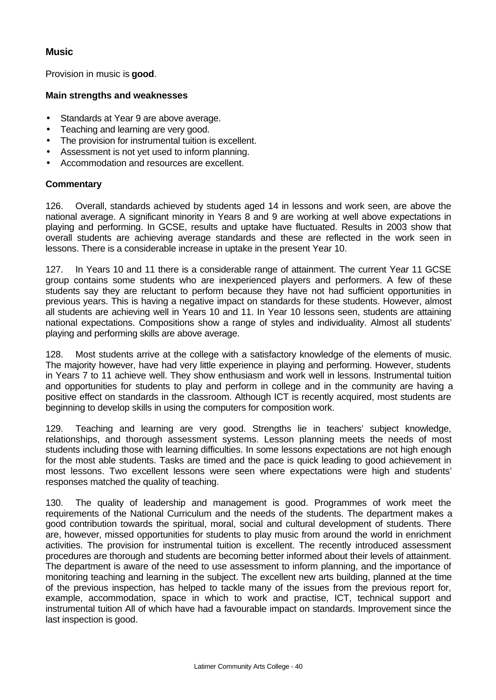### **Music**

Provision in music is **good**.

### **Main strengths and weaknesses**

- Standards at Year 9 are above average.
- Teaching and learning are very good.
- The provision for instrumental tuition is excellent.
- Assessment is not yet used to inform planning.
- Accommodation and resources are excellent.

### **Commentary**

126. Overall, standards achieved by students aged 14 in lessons and work seen, are above the national average. A significant minority in Years 8 and 9 are working at well above expectations in playing and performing. In GCSE, results and uptake have fluctuated. Results in 2003 show that overall students are achieving average standards and these are reflected in the work seen in lessons. There is a considerable increase in uptake in the present Year 10.

127. In Years 10 and 11 there is a considerable range of attainment. The current Year 11 GCSE group contains some students who are inexperienced players and performers. A few of these students say they are reluctant to perform because they have not had sufficient opportunities in previous years. This is having a negative impact on standards for these students. However, almost all students are achieving well in Years 10 and 11. In Year 10 lessons seen, students are attaining national expectations. Compositions show a range of styles and individuality. Almost all students' playing and performing skills are above average.

128. Most students arrive at the college with a satisfactory knowledge of the elements of music. The majority however, have had very little experience in playing and performing. However, students in Years 7 to 11 achieve well. They show enthusiasm and work well in lessons. Instrumental tuition and opportunities for students to play and perform in college and in the community are having a positive effect on standards in the classroom. Although ICT is recently acquired, most students are beginning to develop skills in using the computers for composition work.

129. Teaching and learning are very good. Strengths lie in teachers' subject knowledge, relationships, and thorough assessment systems. Lesson planning meets the needs of most students including those with learning difficulties. In some lessons expectations are not high enough for the most able students. Tasks are timed and the pace is quick leading to good achievement in most lessons. Two excellent lessons were seen where expectations were high and students' responses matched the quality of teaching.

130. The quality of leadership and management is good. Programmes of work meet the requirements of the National Curriculum and the needs of the students. The department makes a good contribution towards the spiritual, moral, social and cultural development of students. There are, however, missed opportunities for students to play music from around the world in enrichment activities. The provision for instrumental tuition is excellent. The recently introduced assessment procedures are thorough and students are becoming better informed about their levels of attainment. The department is aware of the need to use assessment to inform planning, and the importance of monitoring teaching and learning in the subject. The excellent new arts building, planned at the time of the previous inspection, has helped to tackle many of the issues from the previous report for, example, accommodation, space in which to work and practise, ICT, technical support and instrumental tuition All of which have had a favourable impact on standards. Improvement since the last inspection is good.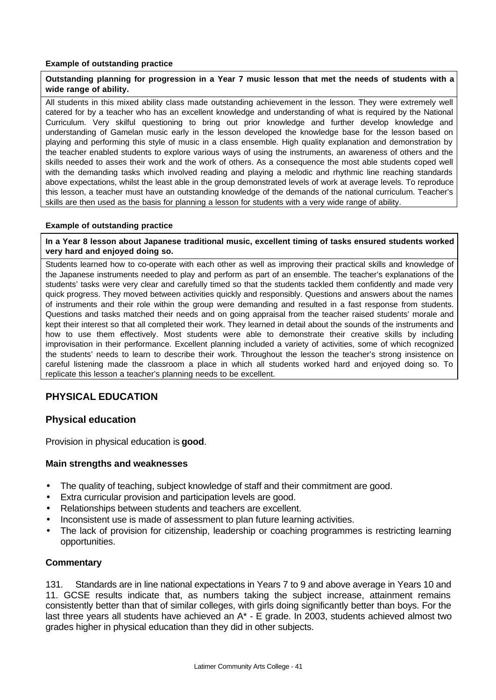#### **Example of outstanding practice**

#### **Outstanding planning for progression in a Year 7 music lesson that met the needs of students with a wide range of ability.**

All students in this mixed ability class made outstanding achievement in the lesson. They were extremely well catered for by a teacher who has an excellent knowledge and understanding of what is required by the National Curriculum. Very skilful questioning to bring out prior knowledge and further develop knowledge and understanding of Gamelan music early in the lesson developed the knowledge base for the lesson based on playing and performing this style of music in a class ensemble. High quality explanation and demonstration by the teacher enabled students to explore various ways of using the instruments, an awareness of others and the skills needed to asses their work and the work of others. As a consequence the most able students coped well with the demanding tasks which involved reading and playing a melodic and rhythmic line reaching standards above expectations, whilst the least able in the group demonstrated levels of work at average levels. To reproduce this lesson, a teacher must have an outstanding knowledge of the demands of the national curriculum. Teacher's skills are then used as the basis for planning a lesson for students with a very wide range of ability.

#### **Example of outstanding practice**

**In a Year 8 lesson about Japanese traditional music, excellent timing of tasks ensured students worked very hard and enjoyed doing so.**

Students learned how to co-operate with each other as well as improving their practical skills and knowledge of the Japanese instruments needed to play and perform as part of an ensemble. The teacher's explanations of the students' tasks were very clear and carefully timed so that the students tackled them confidently and made very quick progress. They moved between activities quickly and responsibly. Questions and answers about the names of instruments and their role within the group were demanding and resulted in a fast response from students. Questions and tasks matched their needs and on going appraisal from the teacher raised students' morale and kept their interest so that all completed their work. They learned in detail about the sounds of the instruments and how to use them effectively. Most students were able to demonstrate their creative skills by including improvisation in their performance. Excellent planning included a variety of activities, some of which recognized the students' needs to learn to describe their work. Throughout the lesson the teacher's strong insistence on careful listening made the classroom a place in which all students worked hard and enjoyed doing so. To replicate this lesson a teacher's planning needs to be excellent.

### **PHYSICAL EDUCATION**

### **Physical education**

Provision in physical education is **good**.

#### **Main strengths and weaknesses**

- The quality of teaching, subject knowledge of staff and their commitment are good.
- Extra curricular provision and participation levels are good.
- Relationships between students and teachers are excellent.
- Inconsistent use is made of assessment to plan future learning activities.
- The lack of provision for citizenship, leadership or coaching programmes is restricting learning opportunities.

#### **Commentary**

131. Standards are in line national expectations in Years 7 to 9 and above average in Years 10 and 11. GCSE results indicate that, as numbers taking the subject increase, attainment remains consistently better than that of similar colleges, with girls doing significantly better than boys. For the last three years all students have achieved an A\* - E grade. In 2003, students achieved almost two grades higher in physical education than they did in other subjects.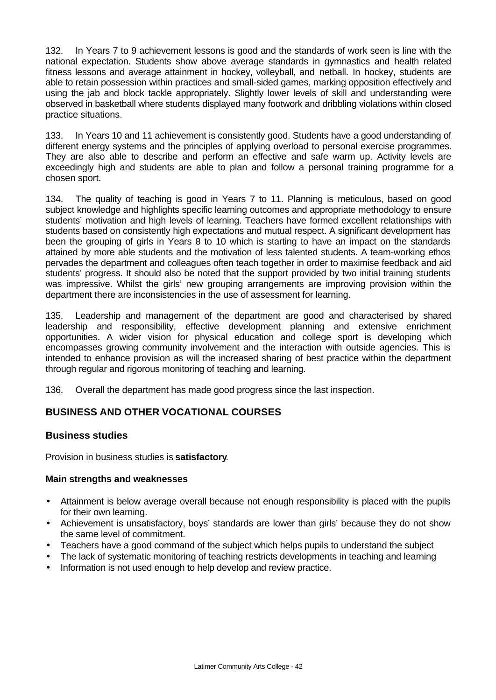132. In Years 7 to 9 achievement lessons is good and the standards of work seen is line with the national expectation. Students show above average standards in gymnastics and health related fitness lessons and average attainment in hockey, volleyball, and netball. In hockey, students are able to retain possession within practices and small-sided games, marking opposition effectively and using the jab and block tackle appropriately. Slightly lower levels of skill and understanding were observed in basketball where students displayed many footwork and dribbling violations within closed practice situations.

133. In Years 10 and 11 achievement is consistently good. Students have a good understanding of different energy systems and the principles of applying overload to personal exercise programmes. They are also able to describe and perform an effective and safe warm up. Activity levels are exceedingly high and students are able to plan and follow a personal training programme for a chosen sport.

134. The quality of teaching is good in Years 7 to 11. Planning is meticulous, based on good subject knowledge and highlights specific learning outcomes and appropriate methodology to ensure students' motivation and high levels of learning. Teachers have formed excellent relationships with students based on consistently high expectations and mutual respect. A significant development has been the grouping of girls in Years 8 to 10 which is starting to have an impact on the standards attained by more able students and the motivation of less talented students. A team-working ethos pervades the department and colleagues often teach together in order to maximise feedback and aid students' progress. It should also be noted that the support provided by two initial training students was impressive. Whilst the girls' new grouping arrangements are improving provision within the department there are inconsistencies in the use of assessment for learning.

135. Leadership and management of the department are good and characterised by shared leadership and responsibility, effective development planning and extensive enrichment opportunities. A wider vision for physical education and college sport is developing which encompasses growing community involvement and the interaction with outside agencies. This is intended to enhance provision as will the increased sharing of best practice within the department through regular and rigorous monitoring of teaching and learning.

136. Overall the department has made good progress since the last inspection.

### **BUSINESS AND OTHER VOCATIONAL COURSES**

### **Business studies**

Provision in business studies is **satisfactory**.

### **Main strengths and weaknesses**

- Attainment is below average overall because not enough responsibility is placed with the pupils for their own learning.
- Achievement is unsatisfactory, boys' standards are lower than girls' because they do not show the same level of commitment.
- Teachers have a good command of the subject which helps pupils to understand the subject
- The lack of systematic monitoring of teaching restricts developments in teaching and learning
- Information is not used enough to help develop and review practice.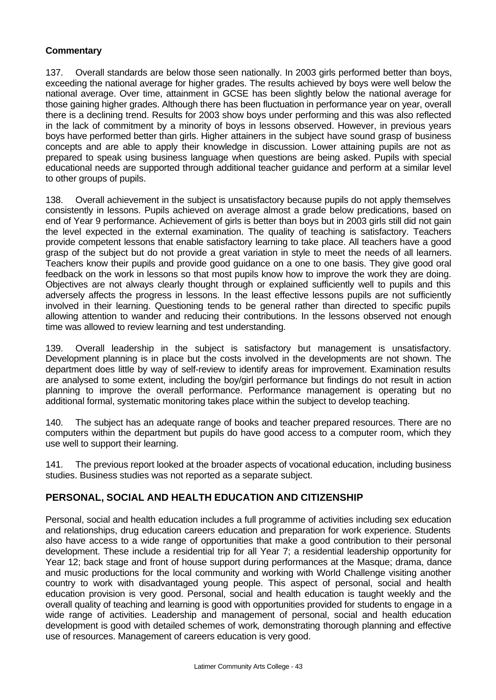### **Commentary**

137. Overall standards are below those seen nationally. In 2003 girls performed better than boys, exceeding the national average for higher grades. The results achieved by boys were well below the national average. Over time, attainment in GCSE has been slightly below the national average for those gaining higher grades. Although there has been fluctuation in performance year on year, overall there is a declining trend. Results for 2003 show boys under performing and this was also reflected in the lack of commitment by a minority of boys in lessons observed. However, in previous years boys have performed better than girls. Higher attainers in the subject have sound grasp of business concepts and are able to apply their knowledge in discussion. Lower attaining pupils are not as prepared to speak using business language when questions are being asked. Pupils with special educational needs are supported through additional teacher guidance and perform at a similar level to other groups of pupils.

138. Overall achievement in the subject is unsatisfactory because pupils do not apply themselves consistently in lessons. Pupils achieved on average almost a grade below predications, based on end of Year 9 performance. Achievement of girls is better than boys but in 2003 girls still did not gain the level expected in the external examination. The quality of teaching is satisfactory. Teachers provide competent lessons that enable satisfactory learning to take place. All teachers have a good grasp of the subject but do not provide a great variation in style to meet the needs of all learners. Teachers know their pupils and provide good guidance on a one to one basis. They give good oral feedback on the work in lessons so that most pupils know how to improve the work they are doing. Objectives are not always clearly thought through or explained sufficiently well to pupils and this adversely affects the progress in lessons. In the least effective lessons pupils are not sufficiently involved in their learning. Questioning tends to be general rather than directed to specific pupils allowing attention to wander and reducing their contributions. In the lessons observed not enough time was allowed to review learning and test understanding.

139. Overall leadership in the subject is satisfactory but management is unsatisfactory. Development planning is in place but the costs involved in the developments are not shown. The department does little by way of self-review to identify areas for improvement. Examination results are analysed to some extent, including the boy/girl performance but findings do not result in action planning to improve the overall performance. Performance management is operating but no additional formal, systematic monitoring takes place within the subject to develop teaching.

140. The subject has an adequate range of books and teacher prepared resources. There are no computers within the department but pupils do have good access to a computer room, which they use well to support their learning.

141. The previous report looked at the broader aspects of vocational education, including business studies. Business studies was not reported as a separate subject.

### **PERSONAL, SOCIAL AND HEALTH EDUCATION AND CITIZENSHIP**

Personal, social and health education includes a full programme of activities including sex education and relationships, drug education careers education and preparation for work experience. Students also have access to a wide range of opportunities that make a good contribution to their personal development. These include a residential trip for all Year 7; a residential leadership opportunity for Year 12; back stage and front of house support during performances at the Masque; drama, dance and music productions for the local community and working with World Challenge visiting another country to work with disadvantaged young people. This aspect of personal, social and health education provision is very good. Personal, social and health education is taught weekly and the overall quality of teaching and learning is good with opportunities provided for students to engage in a wide range of activities. Leadership and management of personal, social and health education development is good with detailed schemes of work, demonstrating thorough planning and effective use of resources. Management of careers education is very good.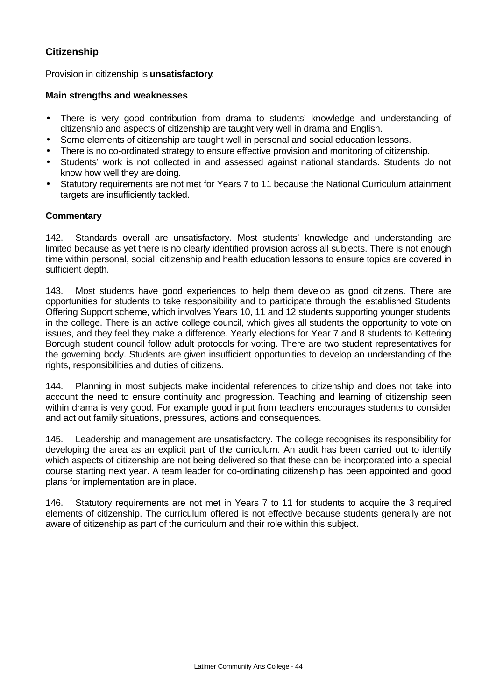### **Citizenship**

Provision in citizenship is **unsatisfactory**.

### **Main strengths and weaknesses**

- There is very good contribution from drama to students' knowledge and understanding of citizenship and aspects of citizenship are taught very well in drama and English.
- Some elements of citizenship are taught well in personal and social education lessons.
- There is no co-ordinated strategy to ensure effective provision and monitoring of citizenship.
- Students' work is not collected in and assessed against national standards. Students do not know how well they are doing.
- Statutory requirements are not met for Years 7 to 11 because the National Curriculum attainment targets are insufficiently tackled.

### **Commentary**

142. Standards overall are unsatisfactory. Most students' knowledge and understanding are limited because as yet there is no clearly identified provision across all subjects. There is not enough time within personal, social, citizenship and health education lessons to ensure topics are covered in sufficient depth.

143. Most students have good experiences to help them develop as good citizens. There are opportunities for students to take responsibility and to participate through the established Students Offering Support scheme, which involves Years 10, 11 and 12 students supporting younger students in the college. There is an active college council, which gives all students the opportunity to vote on issues, and they feel they make a difference. Yearly elections for Year 7 and 8 students to Kettering Borough student council follow adult protocols for voting. There are two student representatives for the governing body. Students are given insufficient opportunities to develop an understanding of the rights, responsibilities and duties of citizens.

144. Planning in most subjects make incidental references to citizenship and does not take into account the need to ensure continuity and progression. Teaching and learning of citizenship seen within drama is very good. For example good input from teachers encourages students to consider and act out family situations, pressures, actions and consequences.

145. Leadership and management are unsatisfactory. The college recognises its responsibility for developing the area as an explicit part of the curriculum. An audit has been carried out to identify which aspects of citizenship are not being delivered so that these can be incorporated into a special course starting next year. A team leader for co-ordinating citizenship has been appointed and good plans for implementation are in place.

146. Statutory requirements are not met in Years 7 to 11 for students to acquire the 3 required elements of citizenship. The curriculum offered is not effective because students generally are not aware of citizenship as part of the curriculum and their role within this subject.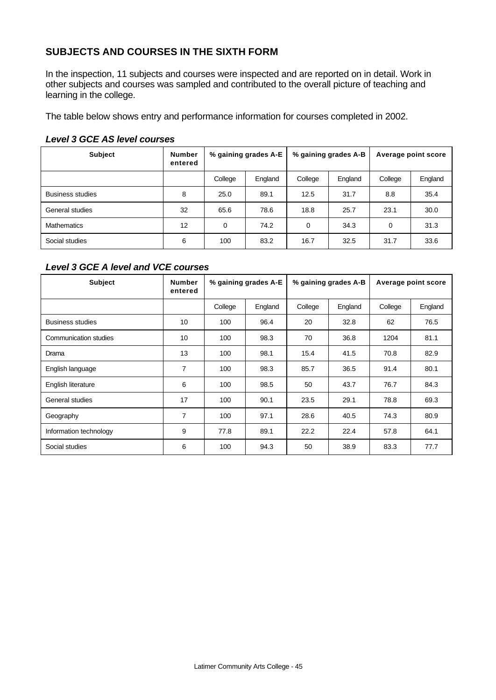### **SUBJECTS AND COURSES IN THE SIXTH FORM**

In the inspection, 11 subjects and courses were inspected and are reported on in detail. Work in other subjects and courses was sampled and contributed to the overall picture of teaching and learning in the college.

The table below shows entry and performance information for courses completed in 2002.

#### *Level 3 GCE AS level courses*

| <b>Subject</b>          | <b>Number</b><br>entered | % gaining grades A-E |         |          | % gaining grades A-B | Average point score |         |
|-------------------------|--------------------------|----------------------|---------|----------|----------------------|---------------------|---------|
|                         |                          | College              | England | College  | England              | College             | England |
| <b>Business studies</b> | 8                        | 25.0                 | 89.1    | 12.5     | 31.7                 | 8.8                 | 35.4    |
| General studies         | 32                       | 65.6                 | 78.6    | 18.8     | 25.7                 | 23.1                | 30.0    |
| <b>Mathematics</b>      | 12                       | $\Omega$             | 74.2    | $\Omega$ | 34.3                 | 0                   | 31.3    |
| Social studies          | 6                        | 100                  | 83.2    | 16.7     | 32.5                 | 31.7                | 33.6    |

#### *Level 3 GCE A level and VCE courses*

| <b>Subject</b>          | <b>Number</b><br>entered | % gaining grades A-E |         | % gaining grades A-B |         | Average point score |         |
|-------------------------|--------------------------|----------------------|---------|----------------------|---------|---------------------|---------|
|                         |                          | College              | England | College              | England | College             | England |
| <b>Business studies</b> | 10                       | 100                  | 96.4    | 20                   | 32.8    | 62                  | 76.5    |
| Communication studies   | 10                       | 100                  | 98.3    | 70                   | 36.8    | 1204                | 81.1    |
| Drama                   | 13                       | 100                  | 98.1    | 15.4                 | 41.5    | 70.8                | 82.9    |
| English language        | $\overline{7}$           | 100                  | 98.3    | 85.7                 | 36.5    | 91.4                | 80.1    |
| English literature      | 6                        | 100                  | 98.5    | 50                   | 43.7    | 76.7                | 84.3    |
| General studies         | 17                       | 100                  | 90.1    | 23.5                 | 29.1    | 78.8                | 69.3    |
| Geography               | $\overline{7}$           | 100                  | 97.1    | 28.6                 | 40.5    | 74.3                | 80.9    |
| Information technology  | 9                        | 77.8                 | 89.1    | 22.2                 | 22.4    | 57.8                | 64.1    |
| Social studies          | 6                        | 100                  | 94.3    | 50                   | 38.9    | 83.3                | 77.7    |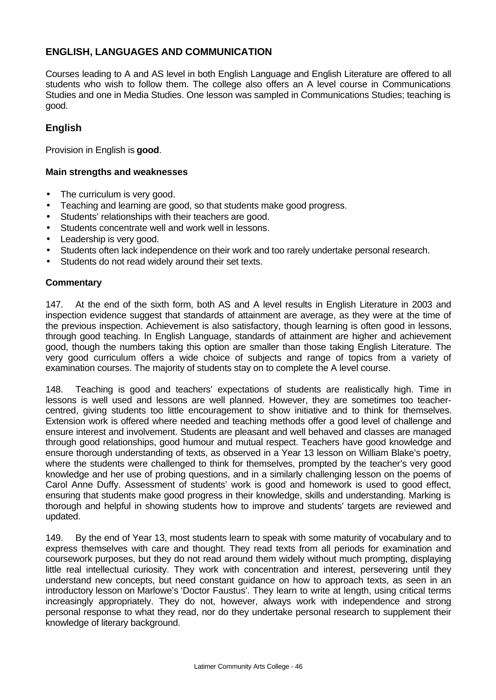### **ENGLISH, LANGUAGES AND COMMUNICATION**

Courses leading to A and AS level in both English Language and English Literature are offered to all students who wish to follow them. The college also offers an A level course in Communications Studies and one in Media Studies. One lesson was sampled in Communications Studies; teaching is good.

### **English**

Provision in English is **good**.

### **Main strengths and weaknesses**

- The curriculum is very good.
- Teaching and learning are good, so that students make good progress.
- Students' relationships with their teachers are good.
- Students concentrate well and work well in lessons.
- Leadership is very good.
- Students often lack independence on their work and too rarely undertake personal research.
- Students do not read widely around their set texts.

#### **Commentary**

147. At the end of the sixth form, both AS and A level results in English Literature in 2003 and inspection evidence suggest that standards of attainment are average, as they were at the time of the previous inspection. Achievement is also satisfactory, though learning is often good in lessons, through good teaching. In English Language, standards of attainment are higher and achievement good, though the numbers taking this option are smaller than those taking English Literature. The very good curriculum offers a wide choice of subjects and range of topics from a variety of examination courses. The majority of students stay on to complete the A level course.

148. Teaching is good and teachers' expectations of students are realistically high. Time in lessons is well used and lessons are well planned. However, they are sometimes too teachercentred, giving students too little encouragement to show initiative and to think for themselves. Extension work is offered where needed and teaching methods offer a good level of challenge and ensure interest and involvement. Students are pleasant and well behaved and classes are managed through good relationships, good humour and mutual respect. Teachers have good knowledge and ensure thorough understanding of texts, as observed in a Year 13 lesson on William Blake's poetry, where the students were challenged to think for themselves, prompted by the teacher's very good knowledge and her use of probing questions, and in a similarly challenging lesson on the poems of Carol Anne Duffy. Assessment of students' work is good and homework is used to good effect, ensuring that students make good progress in their knowledge, skills and understanding. Marking is thorough and helpful in showing students how to improve and students' targets are reviewed and updated.

149. By the end of Year 13, most students learn to speak with some maturity of vocabulary and to express themselves with care and thought. They read texts from all periods for examination and coursework purposes, but they do not read around them widely without much prompting, displaying little real intellectual curiosity. They work with concentration and interest, persevering until they understand new concepts, but need constant guidance on how to approach texts, as seen in an introductory lesson on Marlowe's 'Doctor Faustus'. They learn to write at length, using critical terms increasingly appropriately. They do not, however, always work with independence and strong personal response to what they read, nor do they undertake personal research to supplement their knowledge of literary background.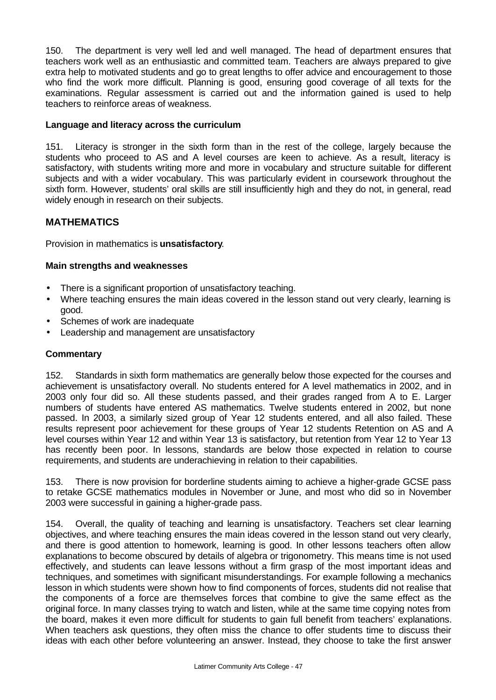150. The department is very well led and well managed. The head of department ensures that teachers work well as an enthusiastic and committed team. Teachers are always prepared to give extra help to motivated students and go to great lengths to offer advice and encouragement to those who find the work more difficult. Planning is good, ensuring good coverage of all texts for the examinations. Regular assessment is carried out and the information gained is used to help teachers to reinforce areas of weakness.

### **Language and literacy across the curriculum**

151. Literacy is stronger in the sixth form than in the rest of the college, largely because the students who proceed to AS and A level courses are keen to achieve. As a result, literacy is satisfactory, with students writing more and more in vocabulary and structure suitable for different subjects and with a wider vocabulary. This was particularly evident in coursework throughout the sixth form. However, students' oral skills are still insufficiently high and they do not, in general, read widely enough in research on their subjects.

### **MATHEMATICS**

Provision in mathematics is **unsatisfactory**.

### **Main strengths and weaknesses**

- There is a significant proportion of unsatisfactory teaching.
- Where teaching ensures the main ideas covered in the lesson stand out very clearly, learning is good.
- Schemes of work are inadequate
- Leadership and management are unsatisfactory

### **Commentary**

152. Standards in sixth form mathematics are generally below those expected for the courses and achievement is unsatisfactory overall. No students entered for A level mathematics in 2002, and in 2003 only four did so. All these students passed, and their grades ranged from A to E. Larger numbers of students have entered AS mathematics. Twelve students entered in 2002, but none passed. In 2003, a similarly sized group of Year 12 students entered, and all also failed. These results represent poor achievement for these groups of Year 12 students Retention on AS and A level courses within Year 12 and within Year 13 is satisfactory, but retention from Year 12 to Year 13 has recently been poor. In lessons, standards are below those expected in relation to course requirements, and students are underachieving in relation to their capabilities.

153. There is now provision for borderline students aiming to achieve a higher-grade GCSE pass to retake GCSE mathematics modules in November or June, and most who did so in November 2003 were successful in gaining a higher-grade pass.

154. Overall, the quality of teaching and learning is unsatisfactory. Teachers set clear learning objectives, and where teaching ensures the main ideas covered in the lesson stand out very clearly, and there is good attention to homework, learning is good. In other lessons teachers often allow explanations to become obscured by details of algebra or trigonometry. This means time is not used effectively, and students can leave lessons without a firm grasp of the most important ideas and techniques, and sometimes with significant misunderstandings. For example following a mechanics lesson in which students were shown how to find components of forces, students did not realise that the components of a force are themselves forces that combine to give the same effect as the original force. In many classes trying to watch and listen, while at the same time copying notes from the board, makes it even more difficult for students to gain full benefit from teachers' explanations. When teachers ask questions, they often miss the chance to offer students time to discuss their ideas with each other before volunteering an answer. Instead, they choose to take the first answer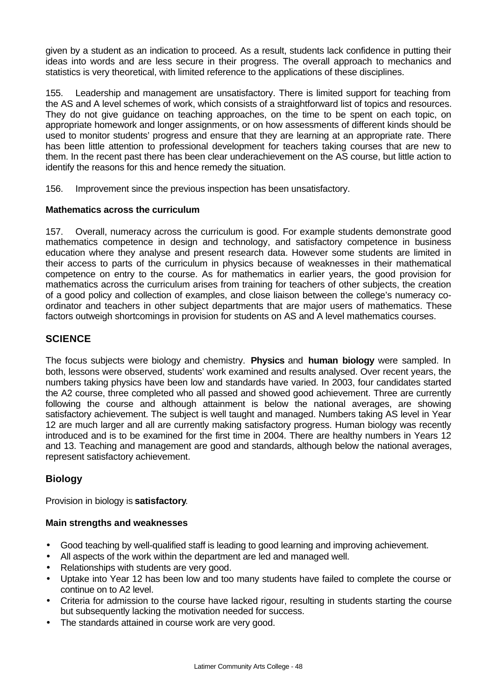given by a student as an indication to proceed. As a result, students lack confidence in putting their ideas into words and are less secure in their progress. The overall approach to mechanics and statistics is very theoretical, with limited reference to the applications of these disciplines.

155. Leadership and management are unsatisfactory. There is limited support for teaching from the AS and A level schemes of work, which consists of a straightforward list of topics and resources. They do not give guidance on teaching approaches, on the time to be spent on each topic, on appropriate homework and longer assignments, or on how assessments of different kinds should be used to monitor students' progress and ensure that they are learning at an appropriate rate. There has been little attention to professional development for teachers taking courses that are new to them. In the recent past there has been clear underachievement on the AS course, but little action to identify the reasons for this and hence remedy the situation.

156. Improvement since the previous inspection has been unsatisfactory.

### **Mathematics across the curriculum**

157. Overall, numeracy across the curriculum is good. For example students demonstrate good mathematics competence in design and technology, and satisfactory competence in business education where they analyse and present research data. However some students are limited in their access to parts of the curriculum in physics because of weaknesses in their mathematical competence on entry to the course. As for mathematics in earlier years, the good provision for mathematics across the curriculum arises from training for teachers of other subjects, the creation of a good policy and collection of examples, and close liaison between the college's numeracy coordinator and teachers in other subject departments that are major users of mathematics. These factors outweigh shortcomings in provision for students on AS and A level mathematics courses.

### **SCIENCE**

The focus subjects were biology and chemistry. **Physics** and **human biology** were sampled. In both, lessons were observed, students' work examined and results analysed. Over recent years, the numbers taking physics have been low and standards have varied. In 2003, four candidates started the A2 course, three completed who all passed and showed good achievement. Three are currently following the course and although attainment is below the national averages, are showing satisfactory achievement. The subject is well taught and managed. Numbers taking AS level in Year 12 are much larger and all are currently making satisfactory progress. Human biology was recently introduced and is to be examined for the first time in 2004. There are healthy numbers in Years 12 and 13. Teaching and management are good and standards, although below the national averages, represent satisfactory achievement.

### **Biology**

Provision in biology is **satisfactory**.

### **Main strengths and weaknesses**

- Good teaching by well-qualified staff is leading to good learning and improving achievement.
- All aspects of the work within the department are led and managed well.
- Relationships with students are very good.
- Uptake into Year 12 has been low and too many students have failed to complete the course or continue on to A2 level.
- Criteria for admission to the course have lacked rigour, resulting in students starting the course but subsequently lacking the motivation needed for success.
- The standards attained in course work are very good.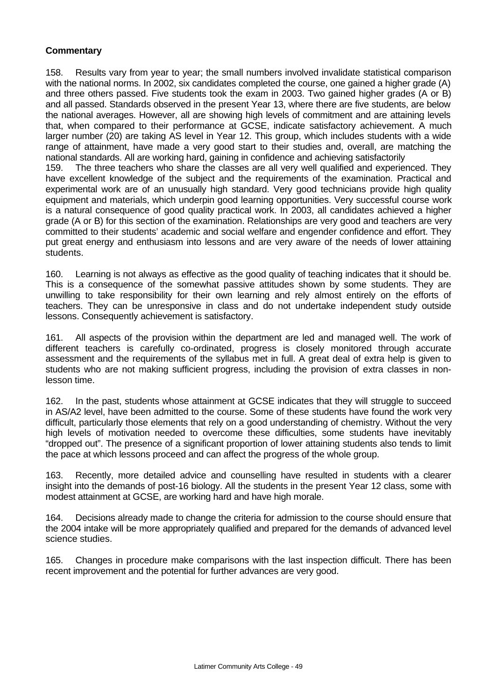### **Commentary**

158. Results vary from year to year; the small numbers involved invalidate statistical comparison with the national norms. In 2002, six candidates completed the course, one gained a higher grade (A) and three others passed. Five students took the exam in 2003. Two gained higher grades (A or B) and all passed. Standards observed in the present Year 13, where there are five students, are below the national averages. However, all are showing high levels of commitment and are attaining levels that, when compared to their performance at GCSE, indicate satisfactory achievement. A much larger number (20) are taking AS level in Year 12. This group, which includes students with a wide range of attainment, have made a very good start to their studies and, overall, are matching the national standards. All are working hard, gaining in confidence and achieving satisfactorily

159. The three teachers who share the classes are all very well qualified and experienced. They have excellent knowledge of the subject and the requirements of the examination. Practical and experimental work are of an unusually high standard. Very good technicians provide high quality equipment and materials, which underpin good learning opportunities. Very successful course work is a natural consequence of good quality practical work. In 2003, all candidates achieved a higher grade (A or B) for this section of the examination. Relationships are very good and teachers are very committed to their students' academic and social welfare and engender confidence and effort. They put great energy and enthusiasm into lessons and are very aware of the needs of lower attaining students.

160. Learning is not always as effective as the good quality of teaching indicates that it should be. This is a consequence of the somewhat passive attitudes shown by some students. They are unwilling to take responsibility for their own learning and rely almost entirely on the efforts of teachers. They can be unresponsive in class and do not undertake independent study outside lessons. Consequently achievement is satisfactory.

161. All aspects of the provision within the department are led and managed well. The work of different teachers is carefully co-ordinated, progress is closely monitored through accurate assessment and the requirements of the syllabus met in full. A great deal of extra help is given to students who are not making sufficient progress, including the provision of extra classes in nonlesson time.

162. In the past, students whose attainment at GCSE indicates that they will struggle to succeed in AS/A2 level, have been admitted to the course. Some of these students have found the work very difficult, particularly those elements that rely on a good understanding of chemistry. Without the very high levels of motivation needed to overcome these difficulties, some students have inevitably "dropped out". The presence of a significant proportion of lower attaining students also tends to limit the pace at which lessons proceed and can affect the progress of the whole group.

163. Recently, more detailed advice and counselling have resulted in students with a clearer insight into the demands of post-16 biology. All the students in the present Year 12 class, some with modest attainment at GCSE, are working hard and have high morale.

164. Decisions already made to change the criteria for admission to the course should ensure that the 2004 intake will be more appropriately qualified and prepared for the demands of advanced level science studies.

165. Changes in procedure make comparisons with the last inspection difficult. There has been recent improvement and the potential for further advances are very good.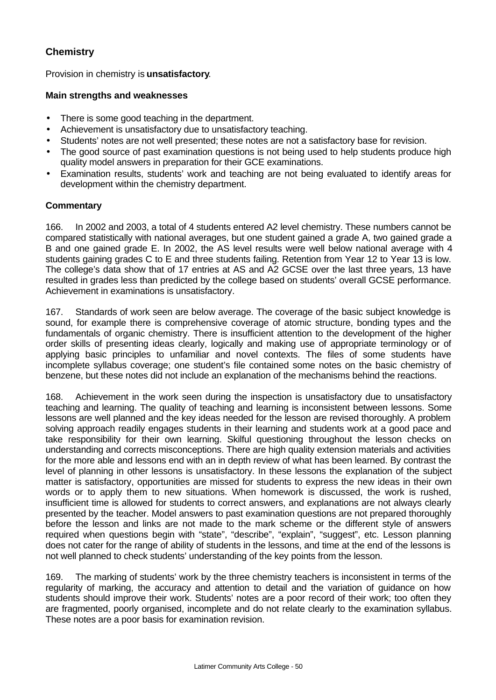### **Chemistry**

Provision in chemistry is **unsatisfactory**.

### **Main strengths and weaknesses**

- There is some good teaching in the department.
- Achievement is unsatisfactory due to unsatisfactory teaching.
- Students' notes are not well presented; these notes are not a satisfactory base for revision.
- The good source of past examination questions is not being used to help students produce high quality model answers in preparation for their GCE examinations.
- Examination results, students' work and teaching are not being evaluated to identify areas for development within the chemistry department.

### **Commentary**

166. In 2002 and 2003, a total of 4 students entered A2 level chemistry. These numbers cannot be compared statistically with national averages, but one student gained a grade A, two gained grade a B and one gained grade E. In 2002, the AS level results were well below national average with 4 students gaining grades C to E and three students failing. Retention from Year 12 to Year 13 is low. The college's data show that of 17 entries at AS and A2 GCSE over the last three years, 13 have resulted in grades less than predicted by the college based on students' overall GCSE performance. Achievement in examinations is unsatisfactory.

167. Standards of work seen are below average. The coverage of the basic subject knowledge is sound, for example there is comprehensive coverage of atomic structure, bonding types and the fundamentals of organic chemistry. There is insufficient attention to the development of the higher order skills of presenting ideas clearly, logically and making use of appropriate terminology or of applying basic principles to unfamiliar and novel contexts. The files of some students have incomplete syllabus coverage; one student's file contained some notes on the basic chemistry of benzene, but these notes did not include an explanation of the mechanisms behind the reactions.

168. Achievement in the work seen during the inspection is unsatisfactory due to unsatisfactory teaching and learning. The quality of teaching and learning is inconsistent between lessons. Some lessons are well planned and the key ideas needed for the lesson are revised thoroughly. A problem solving approach readily engages students in their learning and students work at a good pace and take responsibility for their own learning. Skilful questioning throughout the lesson checks on understanding and corrects misconceptions. There are high quality extension materials and activities for the more able and lessons end with an in depth review of what has been learned. By contrast the level of planning in other lessons is unsatisfactory. In these lessons the explanation of the subject matter is satisfactory, opportunities are missed for students to express the new ideas in their own words or to apply them to new situations. When homework is discussed, the work is rushed, insufficient time is allowed for students to correct answers, and explanations are not always clearly presented by the teacher. Model answers to past examination questions are not prepared thoroughly before the lesson and links are not made to the mark scheme or the different style of answers required when questions begin with "state", "describe", "explain", "suggest", etc. Lesson planning does not cater for the range of ability of students in the lessons, and time at the end of the lessons is not well planned to check students' understanding of the key points from the lesson.

169. The marking of students' work by the three chemistry teachers is inconsistent in terms of the regularity of marking, the accuracy and attention to detail and the variation of guidance on how students should improve their work. Students' notes are a poor record of their work; too often they are fragmented, poorly organised, incomplete and do not relate clearly to the examination syllabus. These notes are a poor basis for examination revision.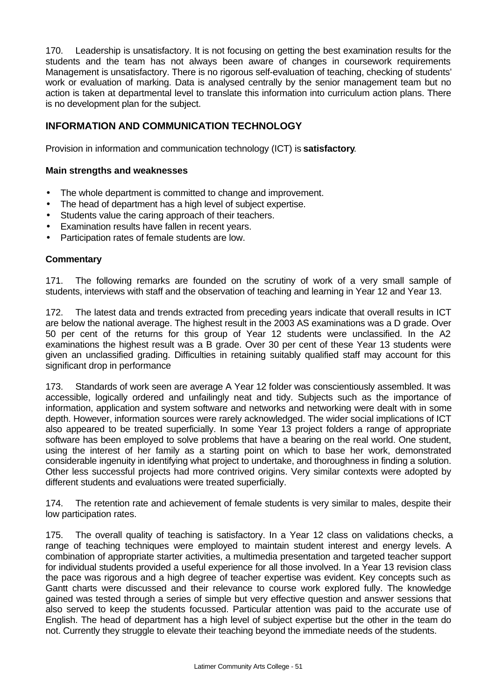170. Leadership is unsatisfactory. It is not focusing on getting the best examination results for the students and the team has not always been aware of changes in coursework requirements Management is unsatisfactory. There is no rigorous self-evaluation of teaching, checking of students' work or evaluation of marking. Data is analysed centrally by the senior management team but no action is taken at departmental level to translate this information into curriculum action plans. There is no development plan for the subject.

### **INFORMATION AND COMMUNICATION TECHNOLOGY**

Provision in information and communication technology (ICT) is **satisfactory**.

### **Main strengths and weaknesses**

- The whole department is committed to change and improvement.
- The head of department has a high level of subject expertise.
- Students value the caring approach of their teachers.
- Examination results have fallen in recent years.
- Participation rates of female students are low.

### **Commentary**

171. The following remarks are founded on the scrutiny of work of a very small sample of students, interviews with staff and the observation of teaching and learning in Year 12 and Year 13.

172. The latest data and trends extracted from preceding years indicate that overall results in ICT are below the national average. The highest result in the 2003 AS examinations was a D grade. Over 50 per cent of the returns for this group of Year 12 students were unclassified. In the A2 examinations the highest result was a B grade. Over 30 per cent of these Year 13 students were given an unclassified grading. Difficulties in retaining suitably qualified staff may account for this significant drop in performance

173. Standards of work seen are average A Year 12 folder was conscientiously assembled. It was accessible, logically ordered and unfailingly neat and tidy. Subjects such as the importance of information, application and system software and networks and networking were dealt with in some depth. However, information sources were rarely acknowledged. The wider social implications of ICT also appeared to be treated superficially. In some Year 13 project folders a range of appropriate software has been employed to solve problems that have a bearing on the real world. One student, using the interest of her family as a starting point on which to base her work, demonstrated considerable ingenuity in identifying what project to undertake, and thoroughness in finding a solution. Other less successful projects had more contrived origins. Very similar contexts were adopted by different students and evaluations were treated superficially.

174. The retention rate and achievement of female students is very similar to males, despite their low participation rates.

175. The overall quality of teaching is satisfactory. In a Year 12 class on validations checks, a range of teaching techniques were employed to maintain student interest and energy levels. A combination of appropriate starter activities, a multimedia presentation and targeted teacher support for individual students provided a useful experience for all those involved. In a Year 13 revision class the pace was rigorous and a high degree of teacher expertise was evident. Key concepts such as Gantt charts were discussed and their relevance to course work explored fully. The knowledge gained was tested through a series of simple but very effective question and answer sessions that also served to keep the students focussed. Particular attention was paid to the accurate use of English. The head of department has a high level of subject expertise but the other in the team do not. Currently they struggle to elevate their teaching beyond the immediate needs of the students.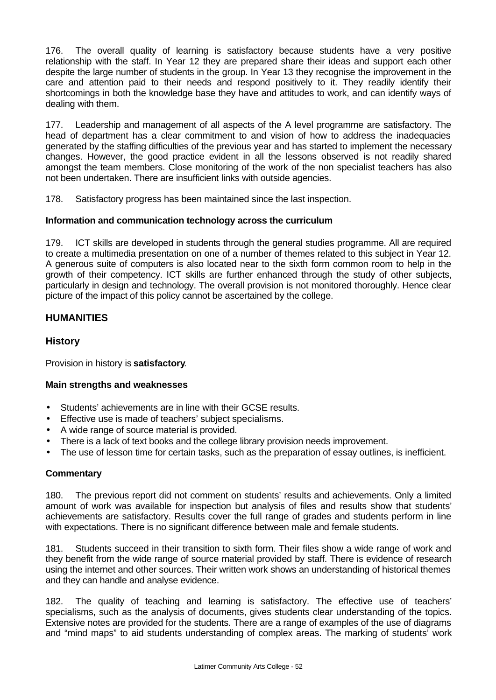176. The overall quality of learning is satisfactory because students have a very positive relationship with the staff. In Year 12 they are prepared share their ideas and support each other despite the large number of students in the group. In Year 13 they recognise the improvement in the care and attention paid to their needs and respond positively to it. They readily identify their shortcomings in both the knowledge base they have and attitudes to work, and can identify ways of dealing with them.

177. Leadership and management of all aspects of the A level programme are satisfactory. The head of department has a clear commitment to and vision of how to address the inadequacies generated by the staffing difficulties of the previous year and has started to implement the necessary changes. However, the good practice evident in all the lessons observed is not readily shared amongst the team members. Close monitoring of the work of the non specialist teachers has also not been undertaken. There are insufficient links with outside agencies.

178. Satisfactory progress has been maintained since the last inspection.

### **Information and communication technology across the curriculum**

179. ICT skills are developed in students through the general studies programme. All are required to create a multimedia presentation on one of a number of themes related to this subject in Year 12. A generous suite of computers is also located near to the sixth form common room to help in the growth of their competency. ICT skills are further enhanced through the study of other subjects, particularly in design and technology. The overall provision is not monitored thoroughly. Hence clear picture of the impact of this policy cannot be ascertained by the college.

### **HUMANITIES**

### **History**

Provision in history is **satisfactory**.

### **Main strengths and weaknesses**

- Students' achievements are in line with their GCSE results.
- Effective use is made of teachers' subject specialisms.
- A wide range of source material is provided.
- There is a lack of text books and the college library provision needs improvement.
- The use of lesson time for certain tasks, such as the preparation of essay outlines, is inefficient.

### **Commentary**

180. The previous report did not comment on students' results and achievements. Only a limited amount of work was available for inspection but analysis of files and results show that students' achievements are satisfactory. Results cover the full range of grades and students perform in line with expectations. There is no significant difference between male and female students.

181. Students succeed in their transition to sixth form. Their files show a wide range of work and they benefit from the wide range of source material provided by staff. There is evidence of research using the internet and other sources. Their written work shows an understanding of historical themes and they can handle and analyse evidence.

182. The quality of teaching and learning is satisfactory. The effective use of teachers' specialisms, such as the analysis of documents, gives students clear understanding of the topics. Extensive notes are provided for the students. There are a range of examples of the use of diagrams and "mind maps" to aid students understanding of complex areas. The marking of students' work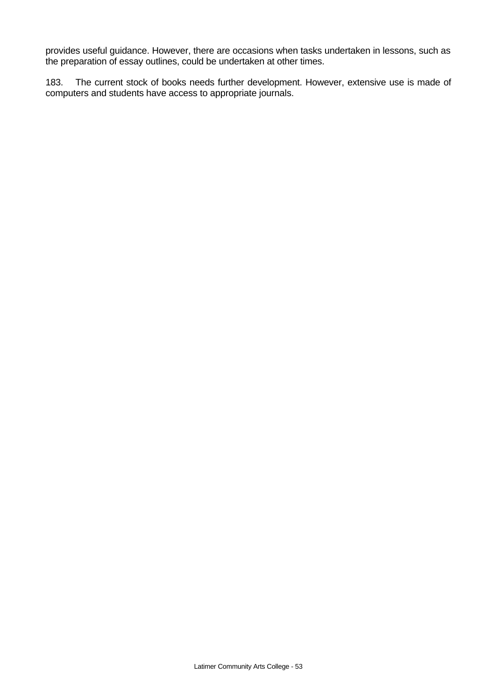provides useful guidance. However, there are occasions when tasks undertaken in lessons, such as the preparation of essay outlines, could be undertaken at other times.

183. The current stock of books needs further development. However, extensive use is made of computers and students have access to appropriate journals.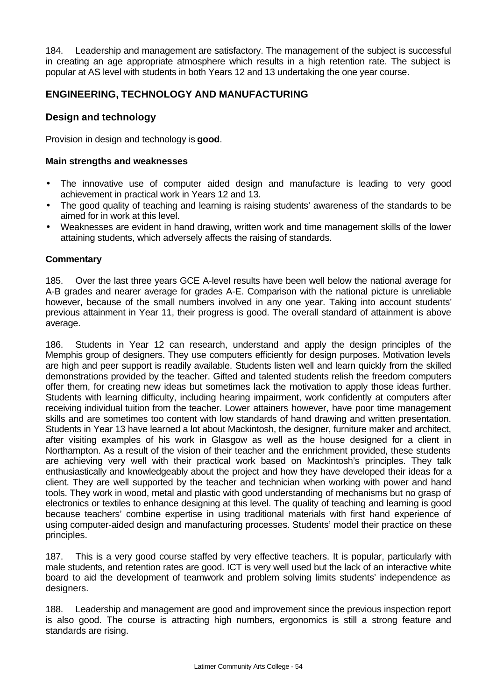184. Leadership and management are satisfactory. The management of the subject is successful in creating an age appropriate atmosphere which results in a high retention rate. The subject is popular at AS level with students in both Years 12 and 13 undertaking the one year course.

### **ENGINEERING, TECHNOLOGY AND MANUFACTURING**

### **Design and technology**

Provision in design and technology is **good**.

### **Main strengths and weaknesses**

- The innovative use of computer aided design and manufacture is leading to very good achievement in practical work in Years 12 and 13.
- The good quality of teaching and learning is raising students' awareness of the standards to be aimed for in work at this level.
- Weaknesses are evident in hand drawing, written work and time management skills of the lower attaining students, which adversely affects the raising of standards.

### **Commentary**

185. Over the last three years GCE A-level results have been well below the national average for A-B grades and nearer average for grades A-E. Comparison with the national picture is unreliable however, because of the small numbers involved in any one year. Taking into account students' previous attainment in Year 11, their progress is good. The overall standard of attainment is above average.

186. Students in Year 12 can research, understand and apply the design principles of the Memphis group of designers. They use computers efficiently for design purposes. Motivation levels are high and peer support is readily available. Students listen well and learn quickly from the skilled demonstrations provided by the teacher. Gifted and talented students relish the freedom computers offer them, for creating new ideas but sometimes lack the motivation to apply those ideas further. Students with learning difficulty, including hearing impairment, work confidently at computers after receiving individual tuition from the teacher. Lower attainers however, have poor time management skills and are sometimes too content with low standards of hand drawing and written presentation. Students in Year 13 have learned a lot about Mackintosh, the designer, furniture maker and architect, after visiting examples of his work in Glasgow as well as the house designed for a client in Northampton. As a result of the vision of their teacher and the enrichment provided, these students are achieving very well with their practical work based on Mackintosh's principles. They talk enthusiastically and knowledgeably about the project and how they have developed their ideas for a client. They are well supported by the teacher and technician when working with power and hand tools. They work in wood, metal and plastic with good understanding of mechanisms but no grasp of electronics or textiles to enhance designing at this level. The quality of teaching and learning is good because teachers' combine expertise in using traditional materials with first hand experience of using computer-aided design and manufacturing processes. Students' model their practice on these principles.

187. This is a very good course staffed by very effective teachers. It is popular, particularly with male students, and retention rates are good. ICT is very well used but the lack of an interactive white board to aid the development of teamwork and problem solving limits students' independence as designers.

188. Leadership and management are good and improvement since the previous inspection report is also good. The course is attracting high numbers, ergonomics is still a strong feature and standards are rising.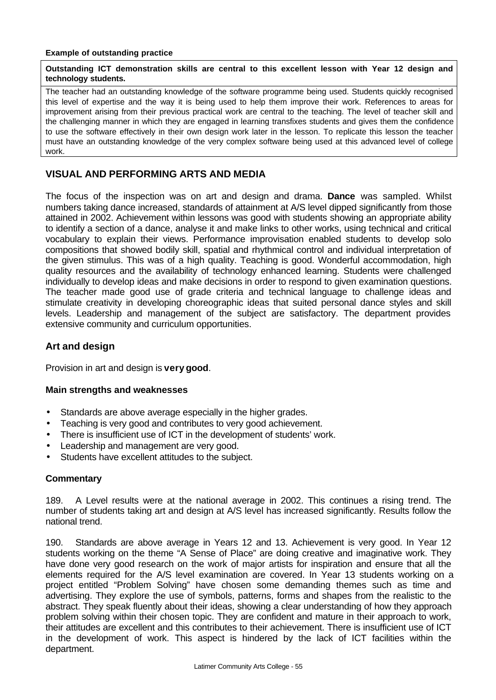#### **Example of outstanding practice**

#### **Outstanding ICT demonstration skills are central to this excellent lesson with Year 12 design and technology students.**

The teacher had an outstanding knowledge of the software programme being used. Students quickly recognised this level of expertise and the way it is being used to help them improve their work. References to areas for improvement arising from their previous practical work are central to the teaching. The level of teacher skill and the challenging manner in which they are engaged in learning transfixes students and gives them the confidence to use the software effectively in their own design work later in the lesson. To replicate this lesson the teacher must have an outstanding knowledge of the very complex software being used at this advanced level of college work.

### **VISUAL AND PERFORMING ARTS AND MEDIA**

The focus of the inspection was on art and design and drama. **Dance** was sampled. Whilst numbers taking dance increased, standards of attainment at A/S level dipped significantly from those attained in 2002. Achievement within lessons was good with students showing an appropriate ability to identify a section of a dance, analyse it and make links to other works, using technical and critical vocabulary to explain their views. Performance improvisation enabled students to develop solo compositions that showed bodily skill, spatial and rhythmical control and individual interpretation of the given stimulus. This was of a high quality. Teaching is good. Wonderful accommodation, high quality resources and the availability of technology enhanced learning. Students were challenged individually to develop ideas and make decisions in order to respond to given examination questions. The teacher made good use of grade criteria and technical language to challenge ideas and stimulate creativity in developing choreographic ideas that suited personal dance styles and skill levels. Leadership and management of the subject are satisfactory. The department provides extensive community and curriculum opportunities.

### **Art and design**

Provision in art and design is **very good**.

#### **Main strengths and weaknesses**

- Standards are above average especially in the higher grades.
- Teaching is very good and contributes to very good achievement.
- There is insufficient use of ICT in the development of students' work.
- Leadership and management are very good.
- Students have excellent attitudes to the subject.

### **Commentary**

189. A Level results were at the national average in 2002. This continues a rising trend. The number of students taking art and design at A/S level has increased significantly. Results follow the national trend.

190. Standards are above average in Years 12 and 13. Achievement is very good. In Year 12 students working on the theme "A Sense of Place" are doing creative and imaginative work. They have done very good research on the work of major artists for inspiration and ensure that all the elements required for the A/S level examination are covered. In Year 13 students working on a project entitled "Problem Solving" have chosen some demanding themes such as time and advertising. They explore the use of symbols, patterns, forms and shapes from the realistic to the abstract. They speak fluently about their ideas, showing a clear understanding of how they approach problem solving within their chosen topic. They are confident and mature in their approach to work, their attitudes are excellent and this contributes to their achievement. There is insufficient use of ICT in the development of work. This aspect is hindered by the lack of ICT facilities within the department.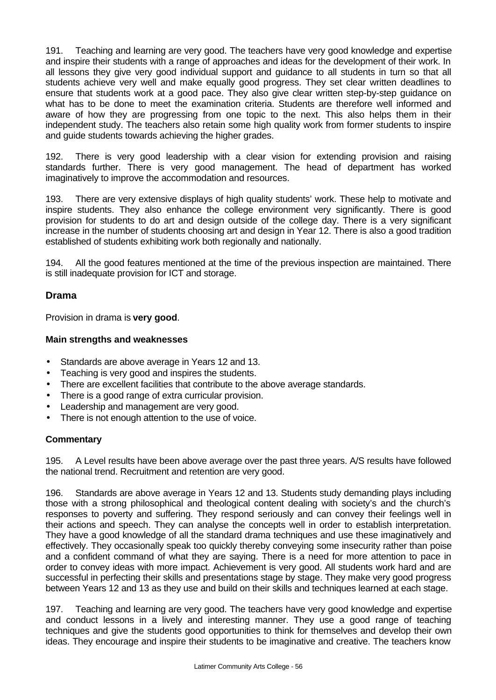191. Teaching and learning are very good. The teachers have very good knowledge and expertise and inspire their students with a range of approaches and ideas for the development of their work. In all lessons they give very good individual support and guidance to all students in turn so that all students achieve very well and make equally good progress. They set clear written deadlines to ensure that students work at a good pace. They also give clear written step-by-step guidance on what has to be done to meet the examination criteria. Students are therefore well informed and aware of how they are progressing from one topic to the next. This also helps them in their independent study. The teachers also retain some high quality work from former students to inspire and guide students towards achieving the higher grades.

192. There is very good leadership with a clear vision for extending provision and raising standards further. There is very good management. The head of department has worked imaginatively to improve the accommodation and resources.

193. There are very extensive displays of high quality students' work. These help to motivate and inspire students. They also enhance the college environment very significantly. There is good provision for students to do art and design outside of the college day. There is a very significant increase in the number of students choosing art and design in Year 12. There is also a good tradition established of students exhibiting work both regionally and nationally.

194. All the good features mentioned at the time of the previous inspection are maintained. There is still inadequate provision for ICT and storage.

### **Drama**

Provision in drama is **very good**.

#### **Main strengths and weaknesses**

- Standards are above average in Years 12 and 13.
- Teaching is very good and inspires the students.
- There are excellent facilities that contribute to the above average standards.
- There is a good range of extra curricular provision.
- Leadership and management are very good.
- There is not enough attention to the use of voice.

#### **Commentary**

195. A Level results have been above average over the past three years. A/S results have followed the national trend. Recruitment and retention are very good.

196. Standards are above average in Years 12 and 13. Students study demanding plays including those with a strong philosophical and theological content dealing with society's and the church's responses to poverty and suffering. They respond seriously and can convey their feelings well in their actions and speech. They can analyse the concepts well in order to establish interpretation. They have a good knowledge of all the standard drama techniques and use these imaginatively and effectively. They occasionally speak too quickly thereby conveying some insecurity rather than poise and a confident command of what they are saying. There is a need for more attention to pace in order to convey ideas with more impact. Achievement is very good. All students work hard and are successful in perfecting their skills and presentations stage by stage. They make very good progress between Years 12 and 13 as they use and build on their skills and techniques learned at each stage.

197. Teaching and learning are very good. The teachers have very good knowledge and expertise and conduct lessons in a lively and interesting manner. They use a good range of teaching techniques and give the students good opportunities to think for themselves and develop their own ideas. They encourage and inspire their students to be imaginative and creative. The teachers know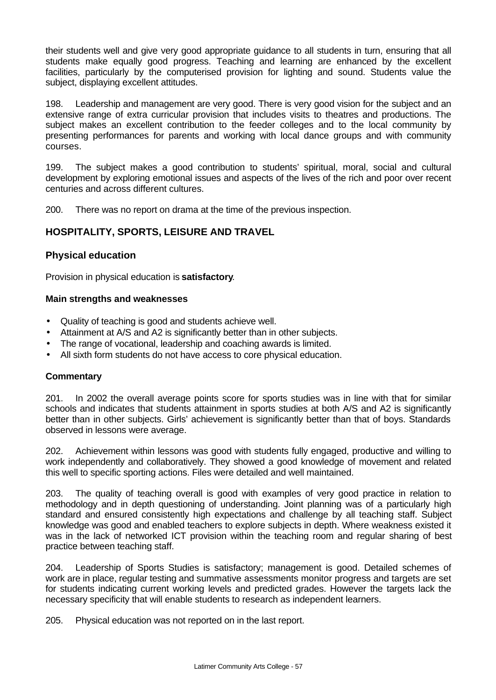their students well and give very good appropriate guidance to all students in turn, ensuring that all students make equally good progress. Teaching and learning are enhanced by the excellent facilities, particularly by the computerised provision for lighting and sound. Students value the subject, displaying excellent attitudes.

198. Leadership and management are very good. There is very good vision for the subject and an extensive range of extra curricular provision that includes visits to theatres and productions. The subject makes an excellent contribution to the feeder colleges and to the local community by presenting performances for parents and working with local dance groups and with community courses.

199. The subject makes a good contribution to students' spiritual, moral, social and cultural development by exploring emotional issues and aspects of the lives of the rich and poor over recent centuries and across different cultures.

200. There was no report on drama at the time of the previous inspection.

### **HOSPITALITY, SPORTS, LEISURE AND TRAVEL**

### **Physical education**

Provision in physical education is **satisfactory**.

#### **Main strengths and weaknesses**

- Quality of teaching is good and students achieve well.
- Attainment at A/S and A2 is significantly better than in other subjects.
- The range of vocational, leadership and coaching awards is limited.
- All sixth form students do not have access to core physical education.

### **Commentary**

201. In 2002 the overall average points score for sports studies was in line with that for similar schools and indicates that students attainment in sports studies at both A/S and A2 is significantly better than in other subjects. Girls' achievement is significantly better than that of boys. Standards observed in lessons were average.

202. Achievement within lessons was good with students fully engaged, productive and willing to work independently and collaboratively. They showed a good knowledge of movement and related this well to specific sporting actions. Files were detailed and well maintained.

203. The quality of teaching overall is good with examples of very good practice in relation to methodology and in depth questioning of understanding. Joint planning was of a particularly high standard and ensured consistently high expectations and challenge by all teaching staff. Subject knowledge was good and enabled teachers to explore subjects in depth. Where weakness existed it was in the lack of networked ICT provision within the teaching room and regular sharing of best practice between teaching staff.

204. Leadership of Sports Studies is satisfactory; management is good. Detailed schemes of work are in place, regular testing and summative assessments monitor progress and targets are set for students indicating current working levels and predicted grades. However the targets lack the necessary specificity that will enable students to research as independent learners.

205. Physical education was not reported on in the last report.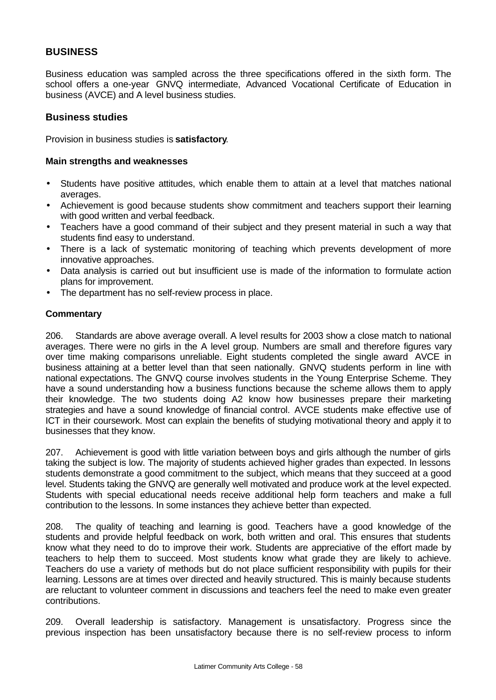### **BUSINESS**

Business education was sampled across the three specifications offered in the sixth form. The school offers a one-year GNVQ intermediate, Advanced Vocational Certificate of Education in business (AVCE) and A level business studies.

### **Business studies**

Provision in business studies is **satisfactory**.

#### **Main strengths and weaknesses**

- Students have positive attitudes, which enable them to attain at a level that matches national averages.
- Achievement is good because students show commitment and teachers support their learning with good written and verbal feedback.
- Teachers have a good command of their subject and they present material in such a way that students find easy to understand.
- There is a lack of systematic monitoring of teaching which prevents development of more innovative approaches.
- Data analysis is carried out but insufficient use is made of the information to formulate action plans for improvement.
- The department has no self-review process in place.

### **Commentary**

206. Standards are above average overall. A level results for 2003 show a close match to national averages. There were no girls in the A level group. Numbers are small and therefore figures vary over time making comparisons unreliable. Eight students completed the single award AVCE in business attaining at a better level than that seen nationally. GNVQ students perform in line with national expectations. The GNVQ course involves students in the Young Enterprise Scheme. They have a sound understanding how a business functions because the scheme allows them to apply their knowledge. The two students doing A2 know how businesses prepare their marketing strategies and have a sound knowledge of financial control. AVCE students make effective use of ICT in their coursework. Most can explain the benefits of studying motivational theory and apply it to businesses that they know.

207. Achievement is good with little variation between boys and girls although the number of girls taking the subject is low. The majority of students achieved higher grades than expected. In lessons students demonstrate a good commitment to the subject, which means that they succeed at a good level. Students taking the GNVQ are generally well motivated and produce work at the level expected. Students with special educational needs receive additional help form teachers and make a full contribution to the lessons. In some instances they achieve better than expected.

208. The quality of teaching and learning is good. Teachers have a good knowledge of the students and provide helpful feedback on work, both written and oral. This ensures that students know what they need to do to improve their work. Students are appreciative of the effort made by teachers to help them to succeed. Most students know what grade they are likely to achieve. Teachers do use a variety of methods but do not place sufficient responsibility with pupils for their learning. Lessons are at times over directed and heavily structured. This is mainly because students are reluctant to volunteer comment in discussions and teachers feel the need to make even greater contributions.

209. Overall leadership is satisfactory. Management is unsatisfactory. Progress since the previous inspection has been unsatisfactory because there is no self-review process to inform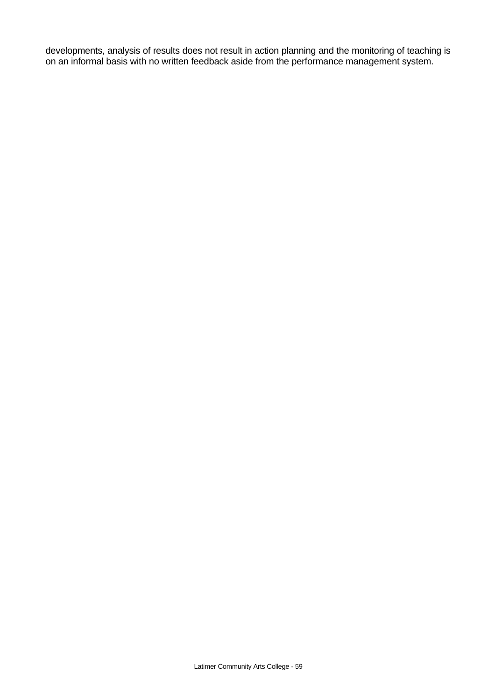developments, analysis of results does not result in action planning and the monitoring of teaching is on an informal basis with no written feedback aside from the performance management system.